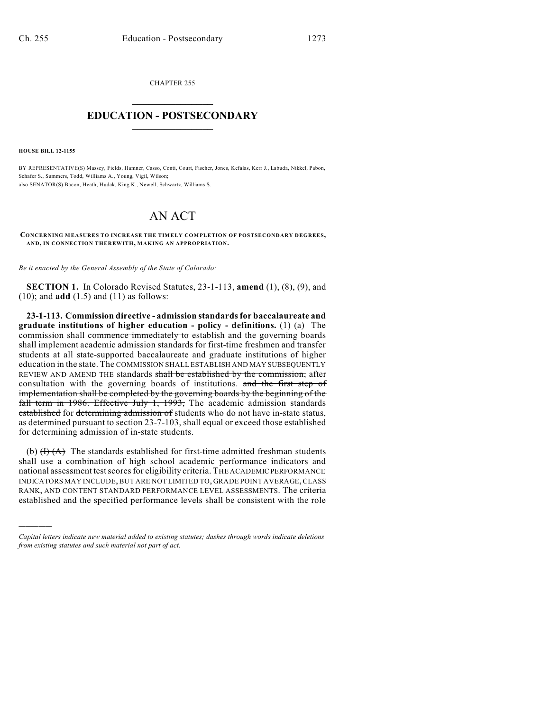CHAPTER 255  $\mathcal{L}_\text{max}$  . The set of the set of the set of the set of the set of the set of the set of the set of the set of the set of the set of the set of the set of the set of the set of the set of the set of the set of the set

## **EDUCATION - POSTSECONDARY**  $\frac{1}{2}$  ,  $\frac{1}{2}$  ,  $\frac{1}{2}$  ,  $\frac{1}{2}$  ,  $\frac{1}{2}$  ,  $\frac{1}{2}$  ,  $\frac{1}{2}$

**HOUSE BILL 12-1155**

)))))

BY REPRESENTATIVE(S) Massey, Fields, Hamner, Casso, Conti, Court, Fischer, Jones, Kefalas, Kerr J., Labuda, Nikkel, Pabon, Schafer S., Summers, Todd, Williams A., Young, Vigil, Wilson; also SENATOR(S) Bacon, Heath, Hudak, King K., Newell, Schwartz, Williams S.

## AN ACT

**CONCERNING M EASURES TO INCREASE THE TIMELY COMPLETION OF POSTSECONDARY DEGREES, AND, IN CONNECTION THEREWITH, MAKING AN APPROPRIATION.**

*Be it enacted by the General Assembly of the State of Colorado:*

**SECTION 1.** In Colorado Revised Statutes, 23-1-113, **amend** (1), (8), (9), and (10); and **add** (1.5) and (11) as follows:

**23-1-113. Commission directive - admission standardsfor baccalaureate and graduate institutions of higher education - policy - definitions.** (1) (a) The commission shall commence immediately to establish and the governing boards shall implement academic admission standards for first-time freshmen and transfer students at all state-supported baccalaureate and graduate institutions of higher education in the state. The COMMISSION SHALL ESTABLISH AND MAY SUBSEQUENTLY REVIEW AND AMEND THE standards shall be established by the commission, after consultation with the governing boards of institutions. and the first step of implementation shall be completed by the governing boards by the beginning of the fall term in 1986. Effective July 1, 1993, The academic admission standards established for determining admission of students who do not have in-state status, as determined pursuant to section 23-7-103, shall equal or exceed those established for determining admission of in-state students.

(b)  $(H)(A)$  The standards established for first-time admitted freshman students shall use a combination of high school academic performance indicators and national assessment test scores for eligibility criteria. THE ACADEMIC PERFORMANCE INDICATORS MAY INCLUDE, BUT ARE NOT LIMITED TO, GRADE POINT AVERAGE,CLASS RANK, AND CONTENT STANDARD PERFORMANCE LEVEL ASSESSMENTS. The criteria established and the specified performance levels shall be consistent with the role

*Capital letters indicate new material added to existing statutes; dashes through words indicate deletions from existing statutes and such material not part of act.*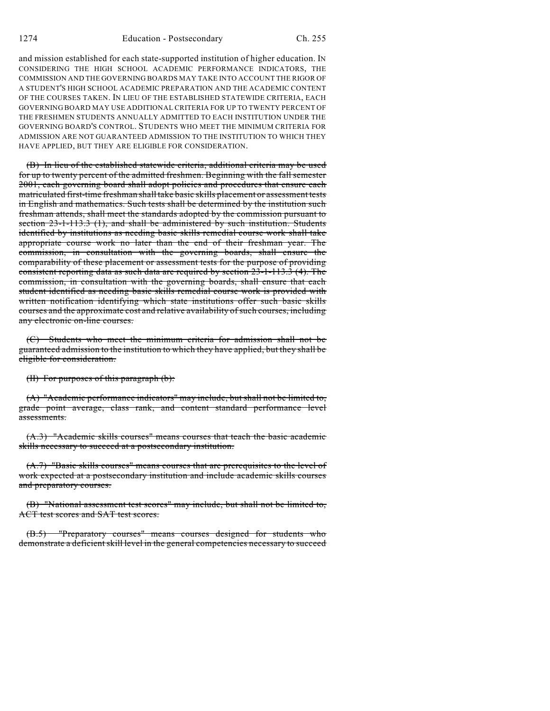and mission established for each state-supported institution of higher education. IN CONSIDERING THE HIGH SCHOOL ACADEMIC PERFORMANCE INDICATORS, THE COMMISSION AND THE GOVERNING BOARDS MAY TAKE INTO ACCOUNT THE RIGOR OF A STUDENT'S HIGH SCHOOL ACADEMIC PREPARATION AND THE ACADEMIC CONTENT OF THE COURSES TAKEN. IN LIEU OF THE ESTABLISHED STATEWIDE CRITERIA, EACH GOVERNING BOARD MAY USE ADDITIONAL CRITERIA FOR UP TO TWENTY PERCENT OF THE FRESHMEN STUDENTS ANNUALLY ADMITTED TO EACH INSTITUTION UNDER THE GOVERNING BOARD'S CONTROL. STUDENTS WHO MEET THE MINIMUM CRITERIA FOR ADMISSION ARE NOT GUARANTEED ADMISSION TO THE INSTITUTION TO WHICH THEY HAVE APPLIED, BUT THEY ARE ELIGIBLE FOR CONSIDERATION.

(B) In lieu of the established statewide criteria, additional criteria may be used for up to twenty percent of the admitted freshmen. Beginning with the fall semester 2001, each governing board shall adopt policies and procedures that ensure each matriculated first-time freshman shall take basic skills placement or assessment tests in English and mathematics. Such tests shall be determined by the institution such freshman attends, shall meet the standards adopted by the commission pursuant to section 23-1-113.3 (1), and shall be administered by such institution. Students identified by institutions as needing basic skills remedial course work shall take appropriate course work no later than the end of their freshman year. The commission, in consultation with the governing boards, shall ensure the comparability of these placement or assessment tests for the purpose of providing consistent reporting data as such data are required by section 23-1-113.3 (4). The commission, in consultation with the governing boards, shall ensure that each student identified as needing basic skills remedial course work is provided with written notification identifying which state institutions offer such basic skills courses and the approximate cost and relative availability of such courses, including any electronic on-line courses.

(C) Students who meet the minimum criteria for admission shall not be guaranteed admission to the institution to which they have applied, but they shall be eligible for consideration.

(II) For purposes of this paragraph (b):

(A) "Academic performance indicators" may include, but shall not be limited to, grade point average, class rank, and content standard performance level assessments.

(A.3) "Academic skills courses" means courses that teach the basic academic skills necessary to succeed at a postsecondary institution.

(A.7) "Basic skills courses" means courses that are prerequisites to the level of work expected at a postsecondary institution and include academic skills courses and preparatory courses.

(B) "National assessment test scores" may include, but shall not be limited to, ACT test scores and SAT test scores.

(B.5) "Preparatory courses" means courses designed for students who demonstrate a deficient skill level in the general competencies necessary to succeed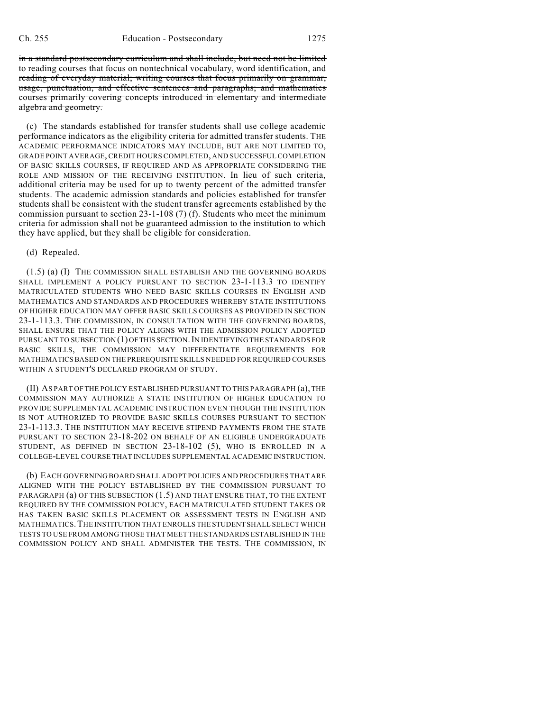in a standard postsecondary curriculum and shall include, but need not be limited to reading courses that focus on nontechnical vocabulary, word identification, and reading of everyday material; writing courses that focus primarily on grammar, usage, punctuation, and effective sentences and paragraphs; and mathematics courses primarily covering concepts introduced in elementary and intermediate algebra and geometry.

(c) The standards established for transfer students shall use college academic performance indicators as the eligibility criteria for admitted transfer students. THE ACADEMIC PERFORMANCE INDICATORS MAY INCLUDE, BUT ARE NOT LIMITED TO, GRADE POINT AVERAGE, CREDIT HOURS COMPLETED, AND SUCCESSFULCOMPLETION OF BASIC SKILLS COURSES, IF REQUIRED AND AS APPROPRIATE CONSIDERING THE ROLE AND MISSION OF THE RECEIVING INSTITUTION. In lieu of such criteria, additional criteria may be used for up to twenty percent of the admitted transfer students. The academic admission standards and policies established for transfer students shall be consistent with the student transfer agreements established by the commission pursuant to section 23-1-108 (7) (f). Students who meet the minimum criteria for admission shall not be guaranteed admission to the institution to which they have applied, but they shall be eligible for consideration.

## (d) Repealed.

(1.5) (a) (I) THE COMMISSION SHALL ESTABLISH AND THE GOVERNING BOARDS SHALL IMPLEMENT A POLICY PURSUANT TO SECTION 23-1-113.3 TO IDENTIFY MATRICULATED STUDENTS WHO NEED BASIC SKILLS COURSES IN ENGLISH AND MATHEMATICS AND STANDARDS AND PROCEDURES WHEREBY STATE INSTITUTIONS OF HIGHER EDUCATION MAY OFFER BASIC SKILLS COURSES AS PROVIDED IN SECTION 23-1-113.3. THE COMMISSION, IN CONSULTATION WITH THE GOVERNING BOARDS, SHALL ENSURE THAT THE POLICY ALIGNS WITH THE ADMISSION POLICY ADOPTED PURSUANT TO SUBSECTION (1) OF THIS SECTION. IN IDENTIFYING THE STANDARDS FOR BASIC SKILLS, THE COMMISSION MAY DIFFERENTIATE REQUIREMENTS FOR MATHEMATICSBASED ON THE PREREQUISITE SKILLS NEEDED FOR REQUIRED COURSES WITHIN A STUDENT'S DECLARED PROGRAM OF STUDY.

(II) AS PART OF THE POLICY ESTABLISHED PURSUANT TO THIS PARAGRAPH (a), THE COMMISSION MAY AUTHORIZE A STATE INSTITUTION OF HIGHER EDUCATION TO PROVIDE SUPPLEMENTAL ACADEMIC INSTRUCTION EVEN THOUGH THE INSTITUTION IS NOT AUTHORIZED TO PROVIDE BASIC SKILLS COURSES PURSUANT TO SECTION 23-1-113.3. THE INSTITUTION MAY RECEIVE STIPEND PAYMENTS FROM THE STATE PURSUANT TO SECTION 23-18-202 ON BEHALF OF AN ELIGIBLE UNDERGRADUATE STUDENT, AS DEFINED IN SECTION 23-18-102 (5), WHO IS ENROLLED IN A COLLEGE-LEVEL COURSE THAT INCLUDES SUPPLEMENTAL ACADEMIC INSTRUCTION.

(b) EACH GOVERNING BOARD SHALL ADOPT POLICIES AND PROCEDURES THAT ARE ALIGNED WITH THE POLICY ESTABLISHED BY THE COMMISSION PURSUANT TO PARAGRAPH (a) OF THIS SUBSECTION (1.5) AND THAT ENSURE THAT, TO THE EXTENT REQUIRED BY THE COMMISSION POLICY, EACH MATRICULATED STUDENT TAKES OR HAS TAKEN BASIC SKILLS PLACEMENT OR ASSESSMENT TESTS IN ENGLISH AND MATHEMATICS.THE INSTITUTION THAT ENROLLS THE STUDENT SHALL SELECT WHICH TESTS TO USE FROM AMONG THOSE THAT MEET THE STANDARDS ESTABLISHED IN THE COMMISSION POLICY AND SHALL ADMINISTER THE TESTS. THE COMMISSION, IN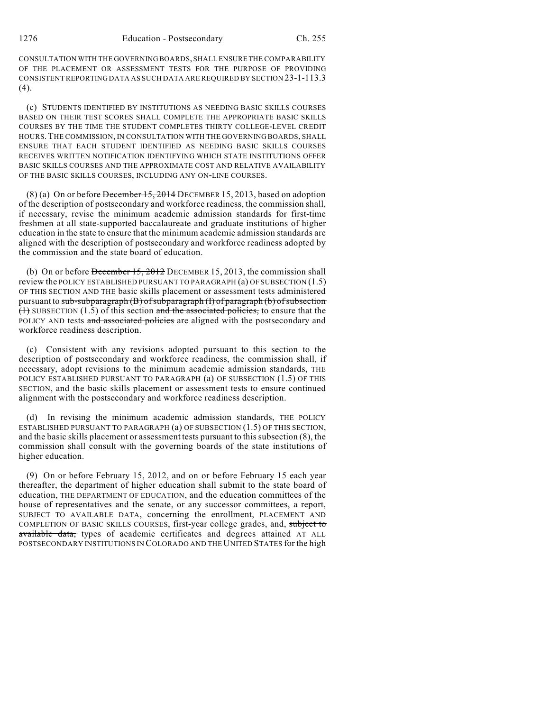CONSULTATION WITH THE GOVERNING BOARDS, SHALL ENSURE THE COMPARABILITY OF THE PLACEMENT OR ASSESSMENT TESTS FOR THE PURPOSE OF PROVIDING CONSISTENT REPORTING DATA AS SUCH DATA ARE REQUIRED BY SECTION 23-1-113.3 (4).

(c) STUDENTS IDENTIFIED BY INSTITUTIONS AS NEEDING BASIC SKILLS COURSES BASED ON THEIR TEST SCORES SHALL COMPLETE THE APPROPRIATE BASIC SKILLS COURSES BY THE TIME THE STUDENT COMPLETES THIRTY COLLEGE-LEVEL CREDIT HOURS. THE COMMISSION, IN CONSULTATION WITH THE GOVERNING BOARDS, SHALL ENSURE THAT EACH STUDENT IDENTIFIED AS NEEDING BASIC SKILLS COURSES RECEIVES WRITTEN NOTIFICATION IDENTIFYING WHICH STATE INSTITUTIONS OFFER BASIC SKILLS COURSES AND THE APPROXIMATE COST AND RELATIVE AVAILABILITY OF THE BASIC SKILLS COURSES, INCLUDING ANY ON-LINE COURSES.

 $(8)$  (a) On or before December 15, 2014 DECEMBER 15, 2013, based on adoption of the description of postsecondary and workforce readiness, the commission shall, if necessary, revise the minimum academic admission standards for first-time freshmen at all state-supported baccalaureate and graduate institutions of higher education in the state to ensure that the minimum academic admission standards are aligned with the description of postsecondary and workforce readiness adopted by the commission and the state board of education.

(b) On or before December 15, 2012 DECEMBER 15, 2013, the commission shall review the POLICY ESTABLISHED PURSUANT TO PARAGRAPH (a) OF SUBSECTION (1.5) OF THIS SECTION AND THE basic skills placement or assessment tests administered pursuant to sub-subparagraph (B) of subparagraph (I) of paragraph (b) of subsection  $(1)$  SUBSECTION (1.5) of this section and the associated policies, to ensure that the POLICY AND tests and associated policies are aligned with the postsecondary and workforce readiness description.

(c) Consistent with any revisions adopted pursuant to this section to the description of postsecondary and workforce readiness, the commission shall, if necessary, adopt revisions to the minimum academic admission standards, THE POLICY ESTABLISHED PURSUANT TO PARAGRAPH (a) OF SUBSECTION (1.5) OF THIS SECTION, and the basic skills placement or assessment tests to ensure continued alignment with the postsecondary and workforce readiness description.

(d) In revising the minimum academic admission standards, THE POLICY ESTABLISHED PURSUANT TO PARAGRAPH (a) OF SUBSECTION (1.5) OF THIS SECTION, and the basic skills placement or assessment tests pursuant to thissubsection (8), the commission shall consult with the governing boards of the state institutions of higher education.

(9) On or before February 15, 2012, and on or before February 15 each year thereafter, the department of higher education shall submit to the state board of education, THE DEPARTMENT OF EDUCATION, and the education committees of the house of representatives and the senate, or any successor committees, a report, SUBJECT TO AVAILABLE DATA, concerning the enrollment, PLACEMENT AND COMPLETION OF BASIC SKILLS COURSES, first-year college grades, and, subject to available data, types of academic certificates and degrees attained AT ALL POSTSECONDARY INSTITUTIONS IN COLORADO AND THE UNITED STATES for the high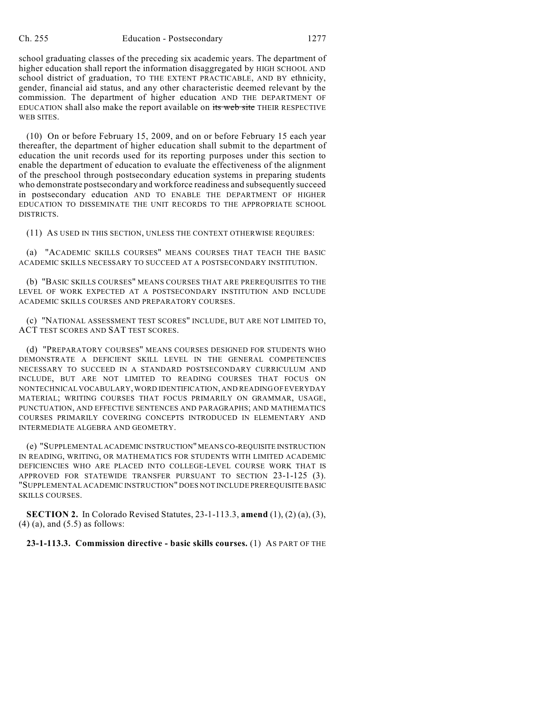school graduating classes of the preceding six academic years. The department of higher education shall report the information disaggregated by HIGH SCHOOL AND school district of graduation, TO THE EXTENT PRACTICABLE, AND BY ethnicity, gender, financial aid status, and any other characteristic deemed relevant by the commission. The department of higher education AND THE DEPARTMENT OF EDUCATION shall also make the report available on its web site THEIR RESPECTIVE WEB SITES.

(10) On or before February 15, 2009, and on or before February 15 each year thereafter, the department of higher education shall submit to the department of education the unit records used for its reporting purposes under this section to enable the department of education to evaluate the effectiveness of the alignment of the preschool through postsecondary education systems in preparing students who demonstrate postsecondary and workforce readiness and subsequently succeed in postsecondary education AND TO ENABLE THE DEPARTMENT OF HIGHER EDUCATION TO DISSEMINATE THE UNIT RECORDS TO THE APPROPRIATE SCHOOL DISTRICTS.

(11) AS USED IN THIS SECTION, UNLESS THE CONTEXT OTHERWISE REQUIRES:

(a) "ACADEMIC SKILLS COURSES" MEANS COURSES THAT TEACH THE BASIC ACADEMIC SKILLS NECESSARY TO SUCCEED AT A POSTSECONDARY INSTITUTION.

(b) "BASIC SKILLS COURSES" MEANS COURSES THAT ARE PREREQUISITES TO THE LEVEL OF WORK EXPECTED AT A POSTSECONDARY INSTITUTION AND INCLUDE ACADEMIC SKILLS COURSES AND PREPARATORY COURSES.

(c) "NATIONAL ASSESSMENT TEST SCORES" INCLUDE, BUT ARE NOT LIMITED TO, ACT TEST SCORES AND SAT TEST SCORES.

(d) "PREPARATORY COURSES" MEANS COURSES DESIGNED FOR STUDENTS WHO DEMONSTRATE A DEFICIENT SKILL LEVEL IN THE GENERAL COMPETENCIES NECESSARY TO SUCCEED IN A STANDARD POSTSECONDARY CURRICULUM AND INCLUDE, BUT ARE NOT LIMITED TO READING COURSES THAT FOCUS ON NONTECHNICAL VOCABULARY, WORD IDENTIFICATION, AND READING OF EVERYDAY MATERIAL; WRITING COURSES THAT FOCUS PRIMARILY ON GRAMMAR, USAGE, PUNCTUATION, AND EFFECTIVE SENTENCES AND PARAGRAPHS; AND MATHEMATICS COURSES PRIMARILY COVERING CONCEPTS INTRODUCED IN ELEMENTARY AND INTERMEDIATE ALGEBRA AND GEOMETRY.

(e) "SUPPLEMENTAL ACADEMIC INSTRUCTION"MEANSCO-REQUISITE INSTRUCTION IN READING, WRITING, OR MATHEMATICS FOR STUDENTS WITH LIMITED ACADEMIC DEFICIENCIES WHO ARE PLACED INTO COLLEGE-LEVEL COURSE WORK THAT IS APPROVED FOR STATEWIDE TRANSFER PURSUANT TO SECTION 23-1-125 (3). "SUPPLEMENTAL ACADEMIC INSTRUCTION" DOES NOT INCLUDE PREREQUISITE BASIC SKILLS COURSES.

**SECTION 2.** In Colorado Revised Statutes, 23-1-113.3, **amend** (1), (2) (a), (3),  $(4)$  (a), and  $(5.5)$  as follows:

**23-1-113.3. Commission directive - basic skills courses.** (1) AS PART OF THE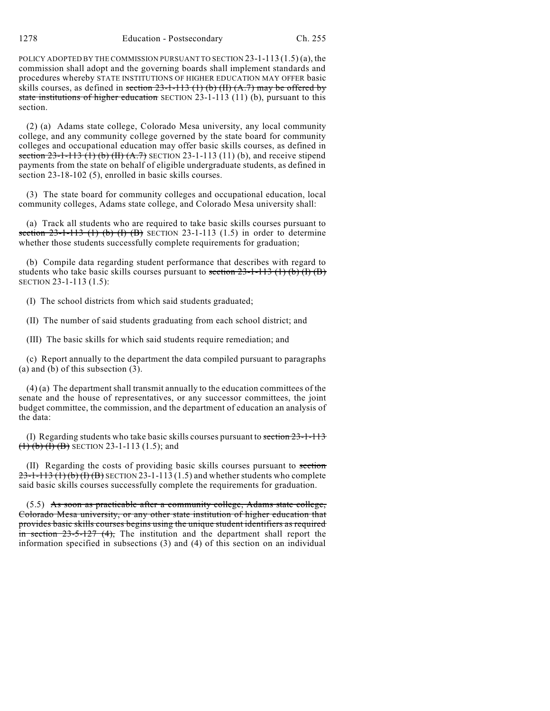POLICY ADOPTED BY THE COMMISSION PURSUANT TO SECTION 23-1-113 (1.5) (a), the commission shall adopt and the governing boards shall implement standards and procedures whereby STATE INSTITUTIONS OF HIGHER EDUCATION MAY OFFER basic skills courses, as defined in section  $23$ -1-113 (1) (b) (II) (A.7) may be offered by state institutions of higher education SECTION 23-1-113 (11) (b), pursuant to this section.

(2) (a) Adams state college, Colorado Mesa university, any local community college, and any community college governed by the state board for community colleges and occupational education may offer basic skills courses, as defined in section  $23-1-113$  (1) (b) (II) (A.7) SECTION 23-1-113 (11) (b), and receive stipend payments from the state on behalf of eligible undergraduate students, as defined in section 23-18-102 (5), enrolled in basic skills courses.

(3) The state board for community colleges and occupational education, local community colleges, Adams state college, and Colorado Mesa university shall:

(a) Track all students who are required to take basic skills courses pursuant to section  $23-1-113$  (1) (b) (I) (B) SECTION 23-1-113 (1.5) in order to determine whether those students successfully complete requirements for graduation;

(b) Compile data regarding student performance that describes with regard to students who take basic skills courses pursuant to section  $23-1-113$  (1) (b) (I) (B) SECTION 23-1-113 (1.5):

(I) The school districts from which said students graduated;

(II) The number of said students graduating from each school district; and

(III) The basic skills for which said students require remediation; and

(c) Report annually to the department the data compiled pursuant to paragraphs (a) and (b) of this subsection (3).

(4) (a) The department shall transmit annually to the education committees of the senate and the house of representatives, or any successor committees, the joint budget committee, the commission, and the department of education an analysis of the data:

(I) Regarding students who take basic skills courses pursuant to section 23-1-113  $(1)$  (b) (I) (B) SECTION 23-1-113 (1.5); and

(II) Regarding the costs of providing basic skills courses pursuant to section  $23-1-113$  (1) (b) (f) (B) SECTION 23-1-113 (1.5) and whether students who complete said basic skills courses successfully complete the requirements for graduation.

 $(5.5)$  As soon as practicable after a community college, Adams state college, Colorado Mesa university, or any other state institution of higher education that provides basic skills courses begins using the unique student identifiers as required  $\frac{1}{2}$  in section 23-5-127 (4), The institution and the department shall report the information specified in subsections (3) and (4) of this section on an individual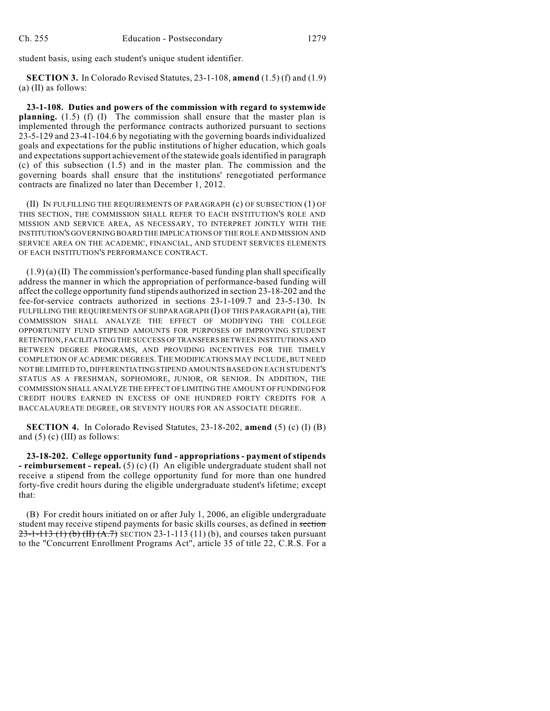student basis, using each student's unique student identifier.

**SECTION 3.** In Colorado Revised Statutes, 23-1-108, **amend** (1.5) (f) and (1.9) (a) (II) as follows:

**23-1-108. Duties and powers of the commission with regard to systemwide planning.** (1.5) (f) (I) The commission shall ensure that the master plan is implemented through the performance contracts authorized pursuant to sections 23-5-129 and 23-41-104.6 by negotiating with the governing boards individualized goals and expectations for the public institutions of higher education, which goals and expectationssupport achievement of the statewide goalsidentified in paragraph (c) of this subsection (1.5) and in the master plan. The commission and the governing boards shall ensure that the institutions' renegotiated performance contracts are finalized no later than December 1, 2012.

(II) IN FULFILLING THE REQUIREMENTS OF PARAGRAPH (c) OF SUBSECTION (1) OF THIS SECTION, THE COMMISSION SHALL REFER TO EACH INSTITUTION'S ROLE AND MISSION AND SERVICE AREA, AS NECESSARY, TO INTERPRET JOINTLY WITH THE INSTITUTION'S GOVERNING BOARD THE IMPLICATIONS OF THE ROLE AND MISSION AND SERVICE AREA ON THE ACADEMIC, FINANCIAL, AND STUDENT SERVICES ELEMENTS OF EACH INSTITUTION'S PERFORMANCE CONTRACT.

 $(1.9)(a)$  (II) The commission's performance-based funding plan shall specifically address the manner in which the appropriation of performance-based funding will affect the college opportunity fund stipends authorized in section 23-18-202 and the fee-for-service contracts authorized in sections 23-1-109.7 and 23-5-130. IN FULFILLING THE REQUIREMENTS OF SUBPARAGRAPH (I) OF THIS PARAGRAPH (a), THE COMMISSION SHALL ANALYZE THE EFFECT OF MODIFYING THE COLLEGE OPPORTUNITY FUND STIPEND AMOUNTS FOR PURPOSES OF IMPROVING STUDENT RETENTION, FACILITATING THE SUCCESS OF TRANSFERS BETWEEN INSTITUTIONS AND BETWEEN DEGREE PROGRAMS, AND PROVIDING INCENTIVES FOR THE TIMELY COMPLETION OF ACADEMIC DEGREES.THE MODIFICATIONS MAY INCLUDE, BUT NEED NOT BE LIMITED TO, DIFFERENTIATING STIPEND AMOUNTS BASED ON EACH STUDENT'S STATUS AS A FRESHMAN, SOPHOMORE, JUNIOR, OR SENIOR. IN ADDITION, THE COMMISSION SHALL ANALYZE THE EFFECT OF LIMITING THE AMOUNT OF FUNDING FOR CREDIT HOURS EARNED IN EXCESS OF ONE HUNDRED FORTY CREDITS FOR A BACCALAUREATE DEGREE, OR SEVENTY HOURS FOR AN ASSOCIATE DEGREE.

**SECTION 4.** In Colorado Revised Statutes, 23-18-202, **amend** (5) (c) (I) (B) and  $(5)$  (c) (III) as follows:

**23-18-202. College opportunity fund - appropriations - payment of stipends - reimbursement - repeal.** (5) (c) (I) An eligible undergraduate student shall not receive a stipend from the college opportunity fund for more than one hundred forty-five credit hours during the eligible undergraduate student's lifetime; except that:

(B) For credit hours initiated on or after July 1, 2006, an eligible undergraduate student may receive stipend payments for basic skills courses, as defined in section  $23-1-113$  (1) (b) (II) (A.7) SECTION 23-1-113 (11) (b), and courses taken pursuant to the "Concurrent Enrollment Programs Act", article 35 of title 22, C.R.S. For a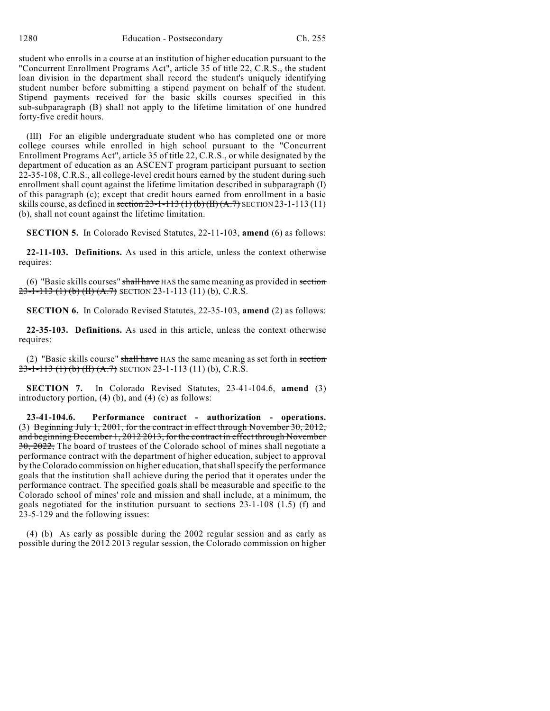student who enrolls in a course at an institution of higher education pursuant to the "Concurrent Enrollment Programs Act", article 35 of title 22, C.R.S., the student loan division in the department shall record the student's uniquely identifying student number before submitting a stipend payment on behalf of the student. Stipend payments received for the basic skills courses specified in this sub-subparagraph (B) shall not apply to the lifetime limitation of one hundred forty-five credit hours.

(III) For an eligible undergraduate student who has completed one or more college courses while enrolled in high school pursuant to the "Concurrent Enrollment Programs Act", article 35 of title 22, C.R.S., or while designated by the department of education as an ASCENT program participant pursuant to section 22-35-108, C.R.S., all college-level credit hours earned by the student during such enrollment shall count against the lifetime limitation described in subparagraph (I) of this paragraph (c); except that credit hours earned from enrollment in a basic skills course, as defined in section  $23-1-113(1)$  (b) (II)  $(A.7)$  SECTION 23-1-113 (11) (b), shall not count against the lifetime limitation.

**SECTION 5.** In Colorado Revised Statutes, 22-11-103, **amend** (6) as follows:

**22-11-103. Definitions.** As used in this article, unless the context otherwise requires:

 $(6)$  "Basic skills courses" shall have HAS the same meaning as provided in section 23-1-113 (1) (b) (II) (A.7) SECTION 23-1-113 (11) (b), C.R.S.

**SECTION 6.** In Colorado Revised Statutes, 22-35-103, **amend** (2) as follows:

**22-35-103. Definitions.** As used in this article, unless the context otherwise requires:

(2) "Basic skills course" shall have HAS the same meaning as set forth in section  $23-1-113$  (1) (b) (II) (A.7) SECTION 23-1-113 (11) (b), C.R.S.

**SECTION 7.** In Colorado Revised Statutes, 23-41-104.6, **amend** (3) introductory portion,  $(4)$   $(b)$ , and  $(4)$   $(c)$  as follows:

**23-41-104.6. Performance contract - authorization - operations.** (3) Beginning July 1, 2001, for the contract in effect through November 30, 2012, and beginning December 1, 2012 2013, for the contract in effect through November 30, 2022, The board of trustees of the Colorado school of mines shall negotiate a performance contract with the department of higher education, subject to approval by the Colorado commission on higher education, that shall specify the performance goals that the institution shall achieve during the period that it operates under the performance contract. The specified goals shall be measurable and specific to the Colorado school of mines' role and mission and shall include, at a minimum, the goals negotiated for the institution pursuant to sections 23-1-108 (1.5) (f) and 23-5-129 and the following issues:

(4) (b) As early as possible during the 2002 regular session and as early as possible during the 2012 2013 regular session, the Colorado commission on higher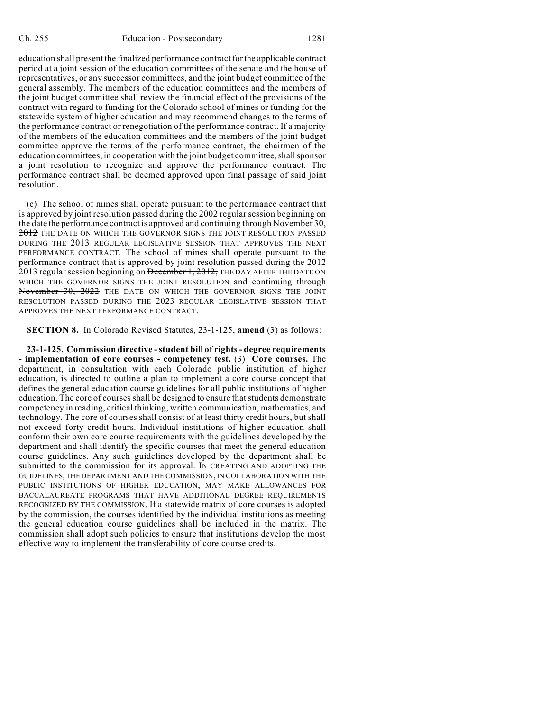education shall present the finalized performance contract for the applicable contract period at a joint session of the education committees of the senate and the house of representatives, or any successor committees, and the joint budget committee of the general assembly. The members of the education committees and the members of the joint budget committee shall review the financial effect of the provisions of the contract with regard to funding for the Colorado school of mines or funding for the statewide system of higher education and may recommend changes to the terms of the performance contract or renegotiation of the performance contract. If a majority of the members of the education committees and the members of the joint budget committee approve the terms of the performance contract, the chairmen of the education committees, in cooperation with the joint budget committee, shall sponsor a joint resolution to recognize and approve the performance contract. The performance contract shall be deemed approved upon final passage of said joint resolution.

(c) The school of mines shall operate pursuant to the performance contract that is approved by joint resolution passed during the 2002 regular session beginning on the date the performance contract is approved and continuing through November  $30$ , 2012 THE DATE ON WHICH THE GOVERNOR SIGNS THE JOINT RESOLUTION PASSED DURING THE 2013 REGULAR LEGISLATIVE SESSION THAT APPROVES THE NEXT PERFORMANCE CONTRACT. The school of mines shall operate pursuant to the performance contract that is approved by joint resolution passed during the  $2012$ 2013 regular session beginning on December 1, 2012, THE DAY AFTER THE DATE ON WHICH THE GOVERNOR SIGNS THE JOINT RESOLUTION and continuing through November 30, 2022 THE DATE ON WHICH THE GOVERNOR SIGNS THE JOINT RESOLUTION PASSED DURING THE 2023 REGULAR LEGISLATIVE SESSION THAT APPROVES THE NEXT PERFORMANCE CONTRACT.

**SECTION 8.** In Colorado Revised Statutes, 23-1-125, **amend** (3) as follows:

**23-1-125. Commission directive -student bill of rights- degree requirements - implementation of core courses - competency test.** (3) **Core courses.** The department, in consultation with each Colorado public institution of higher education, is directed to outline a plan to implement a core course concept that defines the general education course guidelines for all public institutions of higher education. The core of courses shall be designed to ensure that students demonstrate competency in reading, critical thinking, written communication, mathematics, and technology. The core of courses shall consist of at least thirty credit hours, but shall not exceed forty credit hours. Individual institutions of higher education shall conform their own core course requirements with the guidelines developed by the department and shall identify the specific courses that meet the general education course guidelines. Any such guidelines developed by the department shall be submitted to the commission for its approval. IN CREATING AND ADOPTING THE GUIDELINES,THE DEPARTMENT AND THE COMMISSION,IN COLLABORATION WITH THE PUBLIC INSTITUTIONS OF HIGHER EDUCATION, MAY MAKE ALLOWANCES FOR BACCALAUREATE PROGRAMS THAT HAVE ADDITIONAL DEGREE REQUIREMENTS RECOGNIZED BY THE COMMISSION. If a statewide matrix of core courses is adopted by the commission, the courses identified by the individual institutions as meeting the general education course guidelines shall be included in the matrix. The commission shall adopt such policies to ensure that institutions develop the most effective way to implement the transferability of core course credits.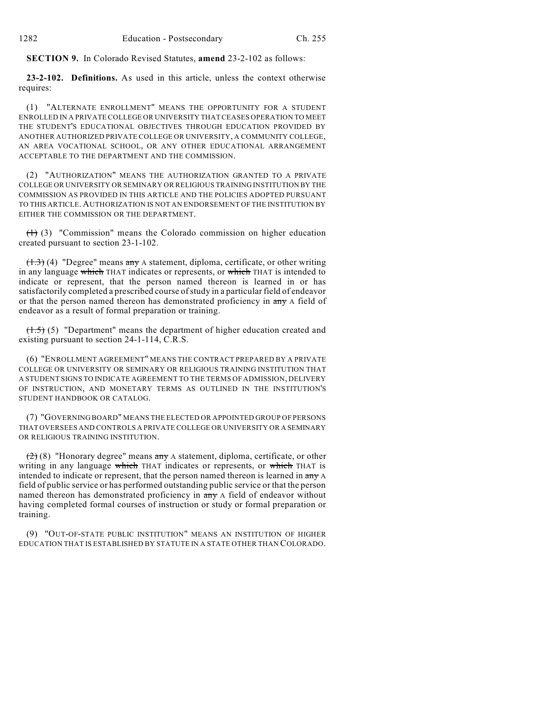**SECTION 9.** In Colorado Revised Statutes, **amend** 23-2-102 as follows:

**23-2-102. Definitions.** As used in this article, unless the context otherwise requires:

(1) "ALTERNATE ENROLLMENT" MEANS THE OPPORTUNITY FOR A STUDENT ENROLLED IN A PRIVATE COLLEGE OR UNIVERSITY THAT CEASES OPERATION TO MEET THE STUDENT'S EDUCATIONAL OBJECTIVES THROUGH EDUCATION PROVIDED BY ANOTHER AUTHORIZED PRIVATE COLLEGE OR UNIVERSITY, A COMMUNITY COLLEGE, AN AREA VOCATIONAL SCHOOL, OR ANY OTHER EDUCATIONAL ARRANGEMENT ACCEPTABLE TO THE DEPARTMENT AND THE COMMISSION.

(2) "AUTHORIZATION" MEANS THE AUTHORIZATION GRANTED TO A PRIVATE COLLEGE OR UNIVERSITY OR SEMINARY OR RELIGIOUS TRAINING INSTITUTION BY THE COMMISSION AS PROVIDED IN THIS ARTICLE AND THE POLICIES ADOPTED PURSUANT TO THIS ARTICLE. AUTHORIZATION IS NOT AN ENDORSEMENT OF THE INSTITUTION BY EITHER THE COMMISSION OR THE DEPARTMENT.

 $(1)$  (3) "Commission" means the Colorado commission on higher education created pursuant to section 23-1-102.

(1.3) (4) "Degree" means any A statement, diploma, certificate, or other writing in any language which THAT indicates or represents, or which THAT is intended to indicate or represent, that the person named thereon is learned in or has satisfactorily completed a prescribed course ofstudy in a particular field of endeavor or that the person named thereon has demonstrated proficiency in  $\frac{a}{a}$  A field of endeavor as a result of formal preparation or training.

(1.5) (5) "Department" means the department of higher education created and existing pursuant to section 24-1-114, C.R.S.

(6) "ENROLLMENT AGREEMENT" MEANS THE CONTRACT PREPARED BY A PRIVATE COLLEGE OR UNIVERSITY OR SEMINARY OR RELIGIOUS TRAINING INSTITUTION THAT A STUDENT SIGNS TO INDICATE AGREEMENT TO THE TERMS OF ADMISSION, DELIVERY OF INSTRUCTION, AND MONETARY TERMS AS OUTLINED IN THE INSTITUTION'S STUDENT HANDBOOK OR CATALOG.

(7) "GOVERNING BOARD" MEANS THE ELECTED OR APPOINTED GROUP OF PERSONS THAT OVERSEES AND CONTROLS A PRIVATE COLLEGE OR UNIVERSITY OR A SEMINARY OR RELIGIOUS TRAINING INSTITUTION.

(2) (8) "Honorary degree" means any A statement, diploma, certificate, or other writing in any language which THAT indicates or represents, or which THAT is intended to indicate or represent, that the person named thereon is learned in any A field of public service or has performed outstanding public service or that the person named thereon has demonstrated proficiency in  $\frac{m}{r}$  A field of endeavor without having completed formal courses of instruction or study or formal preparation or training.

(9) "OUT-OF-STATE PUBLIC INSTITUTION" MEANS AN INSTITUTION OF HIGHER EDUCATION THAT IS ESTABLISHED BY STATUTE IN A STATE OTHER THAN COLORADO.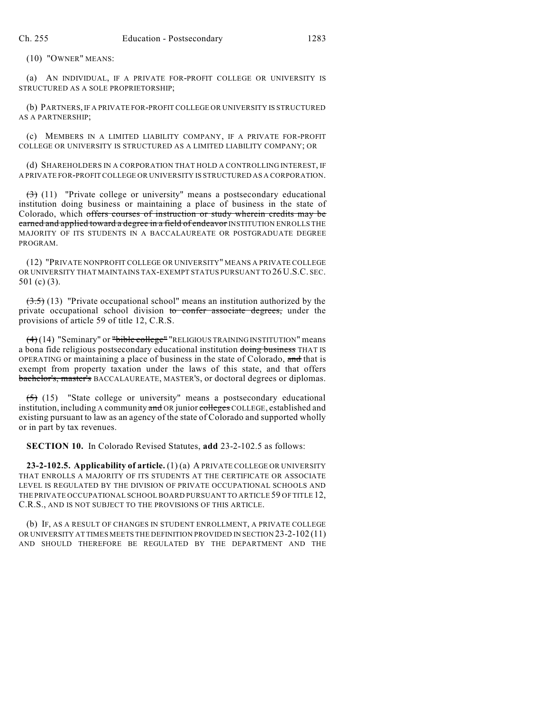(10) "OWNER" MEANS:

(a) AN INDIVIDUAL, IF A PRIVATE FOR-PROFIT COLLEGE OR UNIVERSITY IS STRUCTURED AS A SOLE PROPRIETORSHIP;

(b) PARTNERS, IF A PRIVATE FOR-PROFIT COLLEGE OR UNIVERSITY IS STRUCTURED AS A PARTNERSHIP;

(c) MEMBERS IN A LIMITED LIABILITY COMPANY, IF A PRIVATE FOR-PROFIT COLLEGE OR UNIVERSITY IS STRUCTURED AS A LIMITED LIABILITY COMPANY; OR

(d) SHAREHOLDERS IN A CORPORATION THAT HOLD A CONTROLLING INTEREST, IF A PRIVATE FOR-PROFIT COLLEGE OR UNIVERSITY IS STRUCTURED AS A CORPORATION.

 $(3)$  (11) "Private college or university" means a postsecondary educational institution doing business or maintaining a place of business in the state of Colorado, which offers courses of instruction or study wherein credits may be earned and applied toward a degree in a field of endeavor INSTITUTION ENROLLS THE MAJORITY OF ITS STUDENTS IN A BACCALAUREATE OR POSTGRADUATE DEGREE PROGRAM.

(12) "PRIVATE NONPROFIT COLLEGE OR UNIVERSITY" MEANS A PRIVATE COLLEGE OR UNIVERSITY THAT MAINTAINS TAX-EXEMPT STATUS PURSUANT TO 26 U.S.C. SEC. 501 (c) (3).

 $(3.5)$  (13) "Private occupational school" means an institution authorized by the private occupational school division to confer associate degrees, under the provisions of article 59 of title 12, C.R.S.

(4)(14) "Seminary" or "bible college" "RELIGIOUS TRAINING INSTITUTION" means a bona fide religious postsecondary educational institution doing business THAT IS OPERATING or maintaining a place of business in the state of Colorado, and that is exempt from property taxation under the laws of this state, and that offers bachelor's, master's BACCALAUREATE, MASTER'S, or doctoral degrees or diplomas.

 $(5)$  (15) "State college or university" means a postsecondary educational institution, including A community and OR junior colleges COLLEGE, established and existing pursuant to law as an agency of the state of Colorado and supported wholly or in part by tax revenues.

**SECTION 10.** In Colorado Revised Statutes, **add** 23-2-102.5 as follows:

**23-2-102.5. Applicability of article.** (1) (a) A PRIVATE COLLEGE OR UNIVERSITY THAT ENROLLS A MAJORITY OF ITS STUDENTS AT THE CERTIFICATE OR ASSOCIATE LEVEL IS REGULATED BY THE DIVISION OF PRIVATE OCCUPATIONAL SCHOOLS AND THE PRIVATE OCCUPATIONAL SCHOOL BOARD PURSUANT TO ARTICLE 59 OF TITLE 12, C.R.S., AND IS NOT SUBJECT TO THE PROVISIONS OF THIS ARTICLE.

(b) IF, AS A RESULT OF CHANGES IN STUDENT ENROLLMENT, A PRIVATE COLLEGE OR UNIVERSITY AT TIMES MEETS THE DEFINITION PROVIDED IN SECTION 23-2-102 (11) AND SHOULD THEREFORE BE REGULATED BY THE DEPARTMENT AND THE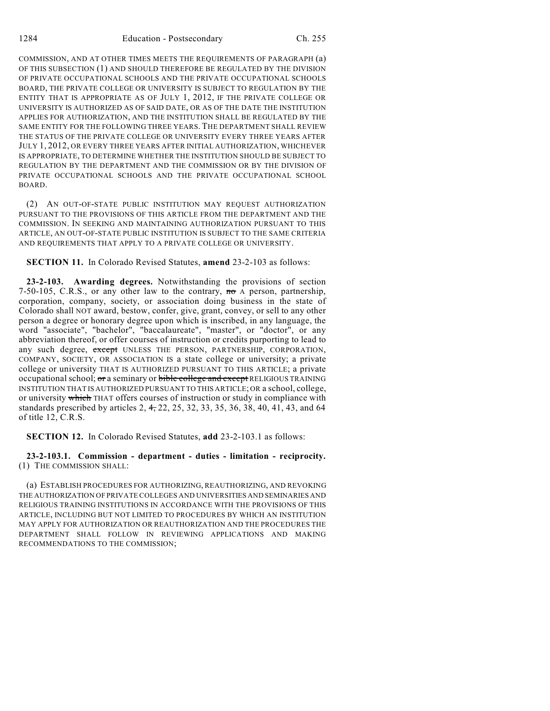COMMISSION, AND AT OTHER TIMES MEETS THE REQUIREMENTS OF PARAGRAPH (a) OF THIS SUBSECTION (1) AND SHOULD THEREFORE BE REGULATED BY THE DIVISION OF PRIVATE OCCUPATIONAL SCHOOLS AND THE PRIVATE OCCUPATIONAL SCHOOLS BOARD, THE PRIVATE COLLEGE OR UNIVERSITY IS SUBJECT TO REGULATION BY THE ENTITY THAT IS APPROPRIATE AS OF JULY 1, 2012, IF THE PRIVATE COLLEGE OR UNIVERSITY IS AUTHORIZED AS OF SAID DATE, OR AS OF THE DATE THE INSTITUTION APPLIES FOR AUTHORIZATION, AND THE INSTITUTION SHALL BE REGULATED BY THE SAME ENTITY FOR THE FOLLOWING THREE YEARS. THE DEPARTMENT SHALL REVIEW THE STATUS OF THE PRIVATE COLLEGE OR UNIVERSITY EVERY THREE YEARS AFTER JULY 1, 2012, OR EVERY THREE YEARS AFTER INITIAL AUTHORIZATION, WHICHEVER IS APPROPRIATE, TO DETERMINE WHETHER THE INSTITUTION SHOULD BE SUBJECT TO REGULATION BY THE DEPARTMENT AND THE COMMISSION OR BY THE DIVISION OF PRIVATE OCCUPATIONAL SCHOOLS AND THE PRIVATE OCCUPATIONAL SCHOOL BOARD.

(2) AN OUT-OF-STATE PUBLIC INSTITUTION MAY REQUEST AUTHORIZATION PURSUANT TO THE PROVISIONS OF THIS ARTICLE FROM THE DEPARTMENT AND THE COMMISSION. IN SEEKING AND MAINTAINING AUTHORIZATION PURSUANT TO THIS ARTICLE, AN OUT-OF-STATE PUBLIC INSTITUTION IS SUBJECT TO THE SAME CRITERIA AND REQUIREMENTS THAT APPLY TO A PRIVATE COLLEGE OR UNIVERSITY.

**SECTION 11.** In Colorado Revised Statutes, **amend** 23-2-103 as follows:

**23-2-103. Awarding degrees.** Notwithstanding the provisions of section 7-50-105, C.R.S., or any other law to the contrary,  $\pi\sigma$  A person, partnership, corporation, company, society, or association doing business in the state of Colorado shall NOT award, bestow, confer, give, grant, convey, or sell to any other person a degree or honorary degree upon which is inscribed, in any language, the word "associate", "bachelor", "baccalaureate", "master", or "doctor", or any abbreviation thereof, or offer courses of instruction or credits purporting to lead to any such degree, except UNLESS THE PERSON, PARTNERSHIP, CORPORATION, COMPANY, SOCIETY, OR ASSOCIATION IS a state college or university; a private college or university THAT IS AUTHORIZED PURSUANT TO THIS ARTICLE; a private occupational school; or a seminary or bible college and except RELIGIOUS TRAINING INSTITUTION THAT IS AUTHORIZED PURSUANT TO THIS ARTICLE; OR a school, college, or university which THAT offers courses of instruction or study in compliance with standards prescribed by articles 2, 4, 22, 25, 32, 33, 35, 36, 38, 40, 41, 43, and 64 of title 12, C.R.S.

**SECTION 12.** In Colorado Revised Statutes, **add** 23-2-103.1 as follows:

**23-2-103.1. Commission - department - duties - limitation - reciprocity.** (1) THE COMMISSION SHALL:

(a) ESTABLISH PROCEDURES FOR AUTHORIZING, REAUTHORIZING, AND REVOKING THE AUTHORIZATION OF PRIVATE COLLEGES AND UNIVERSITIES AND SEMINARIES AND RELIGIOUS TRAINING INSTITUTIONS IN ACCORDANCE WITH THE PROVISIONS OF THIS ARTICLE, INCLUDING BUT NOT LIMITED TO PROCEDURES BY WHICH AN INSTITUTION MAY APPLY FOR AUTHORIZATION OR REAUTHORIZATION AND THE PROCEDURES THE DEPARTMENT SHALL FOLLOW IN REVIEWING APPLICATIONS AND MAKING RECOMMENDATIONS TO THE COMMISSION;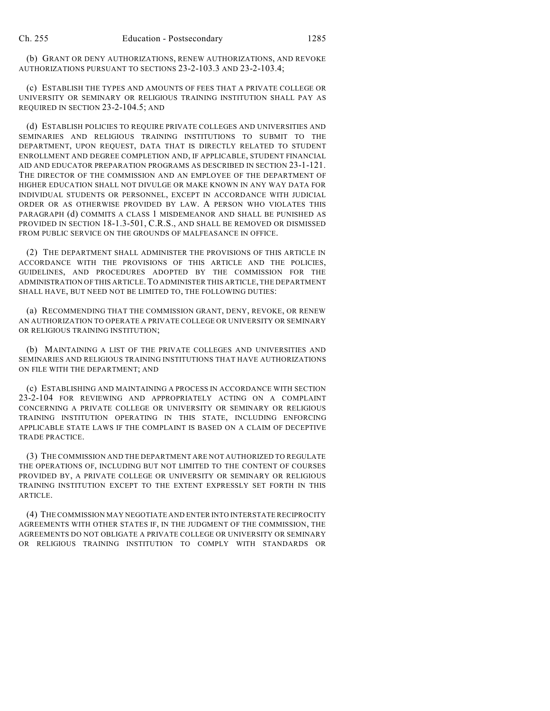(b) GRANT OR DENY AUTHORIZATIONS, RENEW AUTHORIZATIONS, AND REVOKE AUTHORIZATIONS PURSUANT TO SECTIONS 23-2-103.3 AND 23-2-103.4;

(c) ESTABLISH THE TYPES AND AMOUNTS OF FEES THAT A PRIVATE COLLEGE OR UNIVERSITY OR SEMINARY OR RELIGIOUS TRAINING INSTITUTION SHALL PAY AS REQUIRED IN SECTION 23-2-104.5; AND

(d) ESTABLISH POLICIES TO REQUIRE PRIVATE COLLEGES AND UNIVERSITIES AND SEMINARIES AND RELIGIOUS TRAINING INSTITUTIONS TO SUBMIT TO THE DEPARTMENT, UPON REQUEST, DATA THAT IS DIRECTLY RELATED TO STUDENT ENROLLMENT AND DEGREE COMPLETION AND, IF APPLICABLE, STUDENT FINANCIAL AID AND EDUCATOR PREPARATION PROGRAMS AS DESCRIBED IN SECTION 23-1-121. THE DIRECTOR OF THE COMMISSION AND AN EMPLOYEE OF THE DEPARTMENT OF HIGHER EDUCATION SHALL NOT DIVULGE OR MAKE KNOWN IN ANY WAY DATA FOR INDIVIDUAL STUDENTS OR PERSONNEL, EXCEPT IN ACCORDANCE WITH JUDICIAL ORDER OR AS OTHERWISE PROVIDED BY LAW. A PERSON WHO VIOLATES THIS PARAGRAPH (d) COMMITS A CLASS 1 MISDEMEANOR AND SHALL BE PUNISHED AS PROVIDED IN SECTION 18-1.3-501, C.R.S., AND SHALL BE REMOVED OR DISMISSED FROM PUBLIC SERVICE ON THE GROUNDS OF MALFEASANCE IN OFFICE.

(2) THE DEPARTMENT SHALL ADMINISTER THE PROVISIONS OF THIS ARTICLE IN ACCORDANCE WITH THE PROVISIONS OF THIS ARTICLE AND THE POLICIES, GUIDELINES, AND PROCEDURES ADOPTED BY THE COMMISSION FOR THE ADMINISTRATION OF THIS ARTICLE.TO ADMINISTER THIS ARTICLE, THE DEPARTMENT SHALL HAVE, BUT NEED NOT BE LIMITED TO, THE FOLLOWING DUTIES:

(a) RECOMMENDING THAT THE COMMISSION GRANT, DENY, REVOKE, OR RENEW AN AUTHORIZATION TO OPERATE A PRIVATE COLLEGE OR UNIVERSITY OR SEMINARY OR RELIGIOUS TRAINING INSTITUTION;

(b) MAINTAINING A LIST OF THE PRIVATE COLLEGES AND UNIVERSITIES AND SEMINARIES AND RELIGIOUS TRAINING INSTITUTIONS THAT HAVE AUTHORIZATIONS ON FILE WITH THE DEPARTMENT; AND

(c) ESTABLISHING AND MAINTAINING A PROCESS IN ACCORDANCE WITH SECTION 23-2-104 FOR REVIEWING AND APPROPRIATELY ACTING ON A COMPLAINT CONCERNING A PRIVATE COLLEGE OR UNIVERSITY OR SEMINARY OR RELIGIOUS TRAINING INSTITUTION OPERATING IN THIS STATE, INCLUDING ENFORCING APPLICABLE STATE LAWS IF THE COMPLAINT IS BASED ON A CLAIM OF DECEPTIVE TRADE PRACTICE.

(3) THE COMMISSION AND THE DEPARTMENT ARE NOT AUTHORIZED TO REGULATE THE OPERATIONS OF, INCLUDING BUT NOT LIMITED TO THE CONTENT OF COURSES PROVIDED BY, A PRIVATE COLLEGE OR UNIVERSITY OR SEMINARY OR RELIGIOUS TRAINING INSTITUTION EXCEPT TO THE EXTENT EXPRESSLY SET FORTH IN THIS ARTICLE.

(4) THE COMMISSION MAY NEGOTIATE AND ENTER INTO INTERSTATE RECIPROCITY AGREEMENTS WITH OTHER STATES IF, IN THE JUDGMENT OF THE COMMISSION, THE AGREEMENTS DO NOT OBLIGATE A PRIVATE COLLEGE OR UNIVERSITY OR SEMINARY OR RELIGIOUS TRAINING INSTITUTION TO COMPLY WITH STANDARDS OR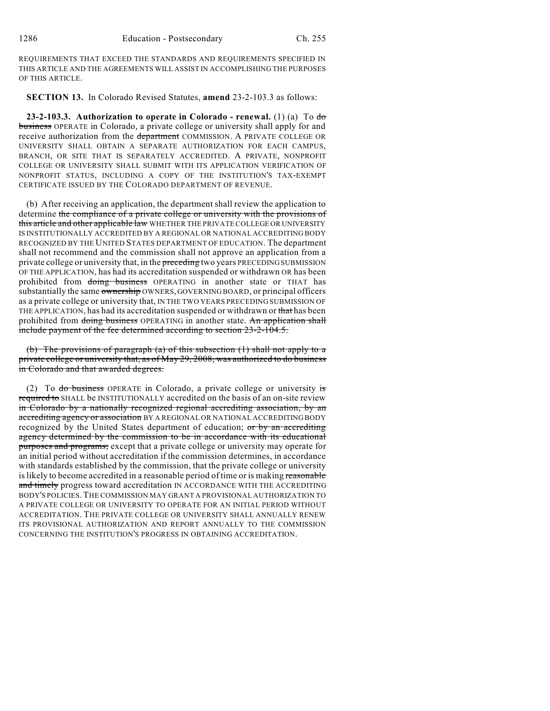REQUIREMENTS THAT EXCEED THE STANDARDS AND REQUIREMENTS SPECIFIED IN THIS ARTICLE AND THE AGREEMENTS WILL ASSIST IN ACCOMPLISHING THE PURPOSES OF THIS ARTICLE.

**SECTION 13.** In Colorado Revised Statutes, **amend** 23-2-103.3 as follows:

**23-2-103.3. Authorization to operate in Colorado - renewal.** (1) (a) To do business OPERATE in Colorado, a private college or university shall apply for and receive authorization from the department COMMISSION. A PRIVATE COLLEGE OR UNIVERSITY SHALL OBTAIN A SEPARATE AUTHORIZATION FOR EACH CAMPUS, BRANCH, OR SITE THAT IS SEPARATELY ACCREDITED. A PRIVATE, NONPROFIT COLLEGE OR UNIVERSITY SHALL SUBMIT WITH ITS APPLICATION VERIFICATION OF NONPROFIT STATUS, INCLUDING A COPY OF THE INSTITUTION'S TAX-EXEMPT CERTIFICATE ISSUED BY THE COLORADO DEPARTMENT OF REVENUE.

(b) After receiving an application, the department shall review the application to determine the compliance of a private college or university with the provisions of this article and other applicable law WHETHER THE PRIVATE COLLEGE OR UNIVERSITY IS INSTITUTIONALLY ACCREDITED BY A REGIONAL OR NATIONAL ACCREDITING BODY RECOGNIZED BY THE UNITED STATES DEPARTMENT OF EDUCATION. The department shall not recommend and the commission shall not approve an application from a private college or university that, in the preceding two years PRECEDING SUBMISSION OF THE APPLICATION, has had its accreditation suspended or withdrawn OR has been prohibited from doing business OPERATING in another state or THAT has substantially the same ownership OWNERS, GOVERNING BOARD, or principal officers as a private college or university that, IN THE TWO YEARS PRECEDING SUBMISSION OF THE APPLICATION, has had its accreditation suspended or withdrawn or that has been prohibited from doing business OPERATING in another state. An application shall include payment of the fee determined according to section 23-2-104.5.

(b) The provisions of paragraph (a) of this subsection (1) shall not apply to a private college or university that, as of May 29, 2008, was authorized to do business in Colorado and that awarded degrees.

(2) To do business OPERATE in Colorado, a private college or university is required to SHALL be INSTITUTIONALLY accredited on the basis of an on-site review in Colorado by a nationally recognized regional accrediting association, by an accrediting agency or association BY A REGIONAL OR NATIONAL ACCREDITING BODY recognized by the United States department of education; or by an accrediting agency determined by the commission to be in accordance with its educational purposes and programs; except that a private college or university may operate for an initial period without accreditation if the commission determines, in accordance with standards established by the commission, that the private college or university is likely to become accredited in a reasonable period of time or is making reasonable and timely progress toward accreditation IN ACCORDANCE WITH THE ACCREDITING BODY'S POLICIES.THE COMMISSION MAY GRANT A PROVISIONAL AUTHORIZATION TO A PRIVATE COLLEGE OR UNIVERSITY TO OPERATE FOR AN INITIAL PERIOD WITHOUT ACCREDITATION. THE PRIVATE COLLEGE OR UNIVERSITY SHALL ANNUALLY RENEW ITS PROVISIONAL AUTHORIZATION AND REPORT ANNUALLY TO THE COMMISSION CONCERNING THE INSTITUTION'S PROGRESS IN OBTAINING ACCREDITATION.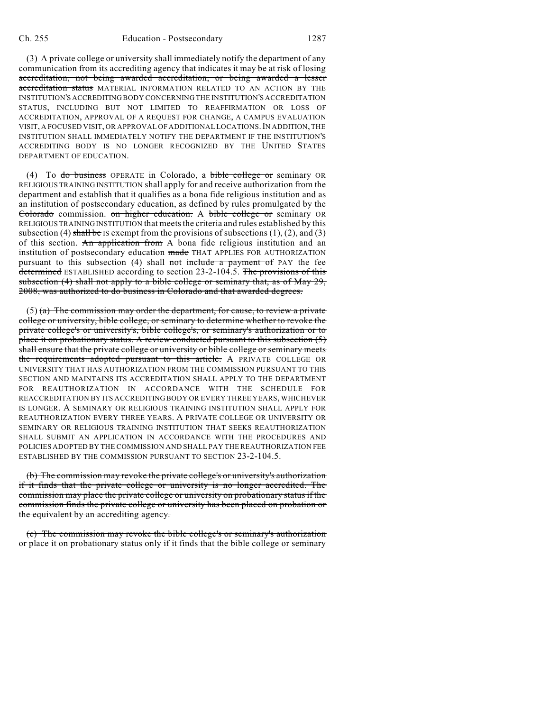(3) A private college or university shall immediately notify the department of any communication from its accrediting agency that indicates it may be at risk of losing accreditation, not being awarded accreditation, or being awarded a lesser accreditation status MATERIAL INFORMATION RELATED TO AN ACTION BY THE INSTITUTION'S ACCREDITING BODY CONCERNING THE INSTITUTION'S ACCREDITATION STATUS, INCLUDING BUT NOT LIMITED TO REAFFIRMATION OR LOSS OF ACCREDITATION, APPROVAL OF A REQUEST FOR CHANGE, A CAMPUS EVALUATION VISIT, A FOCUSED VISIT, OR APPROVAL OF ADDITIONAL LOCATIONS.IN ADDITION, THE INSTITUTION SHALL IMMEDIATELY NOTIFY THE DEPARTMENT IF THE INSTITUTION'S ACCREDITING BODY IS NO LONGER RECOGNIZED BY THE UNITED STATES DEPARTMENT OF EDUCATION.

(4) To do business OPERATE in Colorado, a bible college or seminary OR RELIGIOUS TRAINING INSTITUTION shall apply for and receive authorization from the department and establish that it qualifies as a bona fide religious institution and as an institution of postsecondary education, as defined by rules promulgated by the Colorado commission. on higher education. A bible college or seminary OR RELIGIOUS TRAINING INSTITUTION that meets the criteria and rules established by this subsection (4) shall be IS exempt from the provisions of subsections  $(1)$ ,  $(2)$ , and  $(3)$ of this section. An application from A bona fide religious institution and an institution of postsecondary education made THAT APPLIES FOR AUTHORIZATION pursuant to this subsection  $(4)$  shall not include a payment of PAY the fee determined ESTABLISHED according to section 23-2-104.5. The provisions of this subsection (4) shall not apply to a bible college or seminary that, as of May 29, 2008, was authorized to do business in Colorado and that awarded degrees.

 $(5)$  (a) The commission may order the department, for cause, to review a private college or university, bible college, or seminary to determine whether to revoke the private college's or university's, bible college's, or seminary's authorization or to place it on probationary status. A review conducted pursuant to this subsection (5) shall ensure that the private college or university or bible college or seminary meets the requirements adopted pursuant to this article. A PRIVATE COLLEGE OR UNIVERSITY THAT HAS AUTHORIZATION FROM THE COMMISSION PURSUANT TO THIS SECTION AND MAINTAINS ITS ACCREDITATION SHALL APPLY TO THE DEPARTMENT FOR REAUTHORIZATION IN ACCORDANCE WITH THE SCHEDULE FOR REACCREDITATION BY ITS ACCREDITING BODY OR EVERY THREE YEARS, WHICHEVER IS LONGER. A SEMINARY OR RELIGIOUS TRAINING INSTITUTION SHALL APPLY FOR REAUTHORIZATION EVERY THREE YEARS. A PRIVATE COLLEGE OR UNIVERSITY OR SEMINARY OR RELIGIOUS TRAINING INSTITUTION THAT SEEKS REAUTHORIZATION SHALL SUBMIT AN APPLICATION IN ACCORDANCE WITH THE PROCEDURES AND POLICIES ADOPTED BY THE COMMISSION AND SHALL PAY THE REAUTHORIZATION FEE ESTABLISHED BY THE COMMISSION PURSUANT TO SECTION 23-2-104.5.

(b) The commission may revoke the private college's or university's authorization if it finds that the private college or university is no longer accredited. The commission may place the private college or university on probationary status if the commission finds the private college or university has been placed on probation or the equivalent by an accrediting agency.

(c) The commission may revoke the bible college's or seminary's authorization or place it on probationary status only if it finds that the bible college or seminary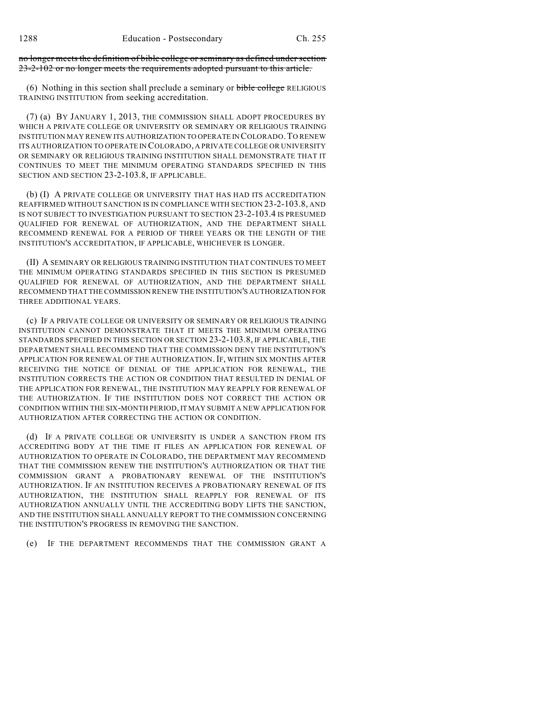no longer meets the definition of bible college or seminary as defined under section 23-2-102 or no longer meets the requirements adopted pursuant to this article.

(6) Nothing in this section shall preclude a seminary or bible college RELIGIOUS TRAINING INSTITUTION from seeking accreditation.

(7) (a) BY JANUARY 1, 2013, THE COMMISSION SHALL ADOPT PROCEDURES BY WHICH A PRIVATE COLLEGE OR UNIVERSITY OR SEMINARY OR RELIGIOUS TRAINING INSTITUTION MAY RENEW ITS AUTHORIZATION TO OPERATE IN COLORADO.TO RENEW ITS AUTHORIZATION TO OPERATE IN COLORADO, A PRIVATE COLLEGE OR UNIVERSITY OR SEMINARY OR RELIGIOUS TRAINING INSTITUTION SHALL DEMONSTRATE THAT IT CONTINUES TO MEET THE MINIMUM OPERATING STANDARDS SPECIFIED IN THIS SECTION AND SECTION 23-2-103.8, IF APPLICABLE.

(b) (I) A PRIVATE COLLEGE OR UNIVERSITY THAT HAS HAD ITS ACCREDITATION REAFFIRMED WITHOUT SANCTION IS IN COMPLIANCE WITH SECTION 23-2-103.8, AND IS NOT SUBJECT TO INVESTIGATION PURSUANT TO SECTION 23-2-103.4 IS PRESUMED QUALIFIED FOR RENEWAL OF AUTHORIZATION, AND THE DEPARTMENT SHALL RECOMMEND RENEWAL FOR A PERIOD OF THREE YEARS OR THE LENGTH OF THE INSTITUTION'S ACCREDITATION, IF APPLICABLE, WHICHEVER IS LONGER.

(II) A SEMINARY OR RELIGIOUS TRAINING INSTITUTION THAT CONTINUES TO MEET THE MINIMUM OPERATING STANDARDS SPECIFIED IN THIS SECTION IS PRESUMED QUALIFIED FOR RENEWAL OF AUTHORIZATION, AND THE DEPARTMENT SHALL RECOMMEND THAT THE COMMISSION RENEW THE INSTITUTION'S AUTHORIZATION FOR THREE ADDITIONAL YEARS.

(c) IF A PRIVATE COLLEGE OR UNIVERSITY OR SEMINARY OR RELIGIOUS TRAINING INSTITUTION CANNOT DEMONSTRATE THAT IT MEETS THE MINIMUM OPERATING STANDARDS SPECIFIED IN THIS SECTION OR SECTION 23-2-103.8, IF APPLICABLE, THE DEPARTMENT SHALL RECOMMEND THAT THE COMMISSION DENY THE INSTITUTION'S APPLICATION FOR RENEWAL OF THE AUTHORIZATION. IF, WITHIN SIX MONTHS AFTER RECEIVING THE NOTICE OF DENIAL OF THE APPLICATION FOR RENEWAL, THE INSTITUTION CORRECTS THE ACTION OR CONDITION THAT RESULTED IN DENIAL OF THE APPLICATION FOR RENEWAL, THE INSTITUTION MAY REAPPLY FOR RENEWAL OF THE AUTHORIZATION. IF THE INSTITUTION DOES NOT CORRECT THE ACTION OR CONDITION WITHIN THE SIX-MONTH PERIOD,IT MAY SUBMIT A NEW APPLICATION FOR AUTHORIZATION AFTER CORRECTING THE ACTION OR CONDITION.

(d) IF A PRIVATE COLLEGE OR UNIVERSITY IS UNDER A SANCTION FROM ITS ACCREDITING BODY AT THE TIME IT FILES AN APPLICATION FOR RENEWAL OF AUTHORIZATION TO OPERATE IN COLORADO, THE DEPARTMENT MAY RECOMMEND THAT THE COMMISSION RENEW THE INSTITUTION'S AUTHORIZATION OR THAT THE COMMISSION GRANT A PROBATIONARY RENEWAL OF THE INSTITUTION'S AUTHORIZATION. IF AN INSTITUTION RECEIVES A PROBATIONARY RENEWAL OF ITS AUTHORIZATION, THE INSTITUTION SHALL REAPPLY FOR RENEWAL OF ITS AUTHORIZATION ANNUALLY UNTIL THE ACCREDITING BODY LIFTS THE SANCTION, AND THE INSTITUTION SHALL ANNUALLY REPORT TO THE COMMISSION CONCERNING THE INSTITUTION'S PROGRESS IN REMOVING THE SANCTION.

(e) IF THE DEPARTMENT RECOMMENDS THAT THE COMMISSION GRANT A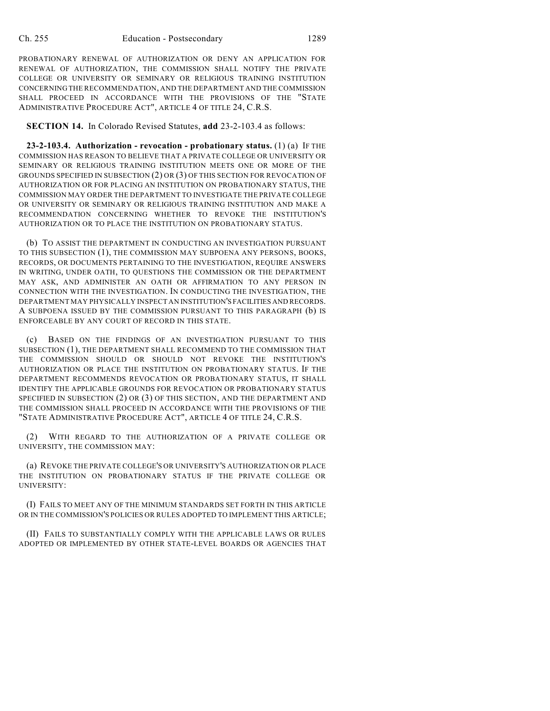PROBATIONARY RENEWAL OF AUTHORIZATION OR DENY AN APPLICATION FOR RENEWAL OF AUTHORIZATION, THE COMMISSION SHALL NOTIFY THE PRIVATE COLLEGE OR UNIVERSITY OR SEMINARY OR RELIGIOUS TRAINING INSTITUTION CONCERNING THE RECOMMENDATION, AND THE DEPARTMENT AND THE COMMISSION SHALL PROCEED IN ACCORDANCE WITH THE PROVISIONS OF THE "STATE ADMINISTRATIVE PROCEDURE ACT", ARTICLE 4 OF TITLE 24, C.R.S.

## **SECTION 14.** In Colorado Revised Statutes, **add** 23-2-103.4 as follows:

**23-2-103.4. Authorization - revocation - probationary status.** (1) (a) IF THE COMMISSION HAS REASON TO BELIEVE THAT A PRIVATE COLLEGE OR UNIVERSITY OR SEMINARY OR RELIGIOUS TRAINING INSTITUTION MEETS ONE OR MORE OF THE GROUNDS SPECIFIED IN SUBSECTION (2) OR (3) OF THIS SECTION FOR REVOCATION OF AUTHORIZATION OR FOR PLACING AN INSTITUTION ON PROBATIONARY STATUS, THE COMMISSION MAY ORDER THE DEPARTMENT TO INVESTIGATE THE PRIVATE COLLEGE OR UNIVERSITY OR SEMINARY OR RELIGIOUS TRAINING INSTITUTION AND MAKE A RECOMMENDATION CONCERNING WHETHER TO REVOKE THE INSTITUTION'S AUTHORIZATION OR TO PLACE THE INSTITUTION ON PROBATIONARY STATUS.

(b) TO ASSIST THE DEPARTMENT IN CONDUCTING AN INVESTIGATION PURSUANT TO THIS SUBSECTION (1), THE COMMISSION MAY SUBPOENA ANY PERSONS, BOOKS, RECORDS, OR DOCUMENTS PERTAINING TO THE INVESTIGATION, REQUIRE ANSWERS IN WRITING, UNDER OATH, TO QUESTIONS THE COMMISSION OR THE DEPARTMENT MAY ASK, AND ADMINISTER AN OATH OR AFFIRMATION TO ANY PERSON IN CONNECTION WITH THE INVESTIGATION. IN CONDUCTING THE INVESTIGATION, THE DEPARTMENT MAY PHYSICALLY INSPECT AN INSTITUTION'S FACILITIES AND RECORDS. A SUBPOENA ISSUED BY THE COMMISSION PURSUANT TO THIS PARAGRAPH (b) IS ENFORCEABLE BY ANY COURT OF RECORD IN THIS STATE.

(c) BASED ON THE FINDINGS OF AN INVESTIGATION PURSUANT TO THIS SUBSECTION (1), THE DEPARTMENT SHALL RECOMMEND TO THE COMMISSION THAT THE COMMISSION SHOULD OR SHOULD NOT REVOKE THE INSTITUTION'S AUTHORIZATION OR PLACE THE INSTITUTION ON PROBATIONARY STATUS. IF THE DEPARTMENT RECOMMENDS REVOCATION OR PROBATIONARY STATUS, IT SHALL IDENTIFY THE APPLICABLE GROUNDS FOR REVOCATION OR PROBATIONARY STATUS SPECIFIED IN SUBSECTION (2) OR (3) OF THIS SECTION, AND THE DEPARTMENT AND THE COMMISSION SHALL PROCEED IN ACCORDANCE WITH THE PROVISIONS OF THE "STATE ADMINISTRATIVE PROCEDURE ACT", ARTICLE 4 OF TITLE 24, C.R.S.

(2) WITH REGARD TO THE AUTHORIZATION OF A PRIVATE COLLEGE OR UNIVERSITY, THE COMMISSION MAY:

(a) REVOKE THE PRIVATE COLLEGE'S OR UNIVERSITY'S AUTHORIZATION OR PLACE THE INSTITUTION ON PROBATIONARY STATUS IF THE PRIVATE COLLEGE OR UNIVERSITY:

(I) FAILS TO MEET ANY OF THE MINIMUM STANDARDS SET FORTH IN THIS ARTICLE OR IN THE COMMISSION'S POLICIES OR RULES ADOPTED TO IMPLEMENT THIS ARTICLE;

(II) FAILS TO SUBSTANTIALLY COMPLY WITH THE APPLICABLE LAWS OR RULES ADOPTED OR IMPLEMENTED BY OTHER STATE-LEVEL BOARDS OR AGENCIES THAT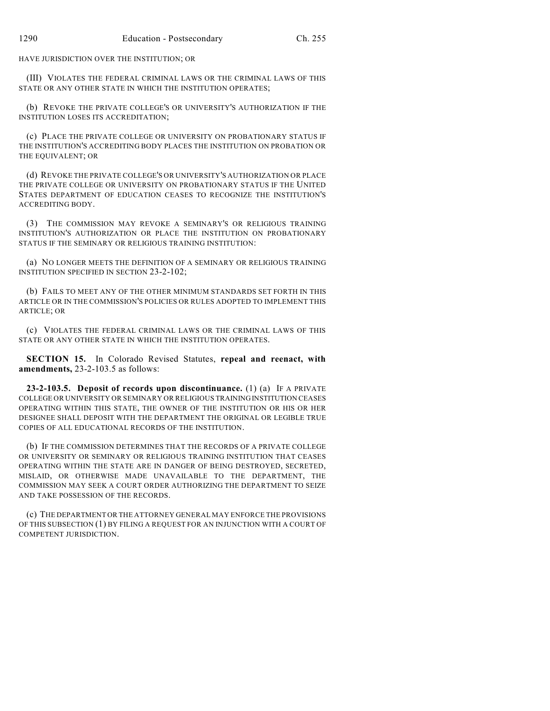HAVE JURISDICTION OVER THE INSTITUTION; OR

(III) VIOLATES THE FEDERAL CRIMINAL LAWS OR THE CRIMINAL LAWS OF THIS STATE OR ANY OTHER STATE IN WHICH THE INSTITUTION OPERATES;

(b) REVOKE THE PRIVATE COLLEGE'S OR UNIVERSITY'S AUTHORIZATION IF THE INSTITUTION LOSES ITS ACCREDITATION;

(c) PLACE THE PRIVATE COLLEGE OR UNIVERSITY ON PROBATIONARY STATUS IF THE INSTITUTION'S ACCREDITING BODY PLACES THE INSTITUTION ON PROBATION OR THE EQUIVALENT; OR

(d) REVOKE THE PRIVATE COLLEGE'S OR UNIVERSITY'S AUTHORIZATION OR PLACE THE PRIVATE COLLEGE OR UNIVERSITY ON PROBATIONARY STATUS IF THE UNITED STATES DEPARTMENT OF EDUCATION CEASES TO RECOGNIZE THE INSTITUTION'S ACCREDITING BODY.

(3) THE COMMISSION MAY REVOKE A SEMINARY'S OR RELIGIOUS TRAINING INSTITUTION'S AUTHORIZATION OR PLACE THE INSTITUTION ON PROBATIONARY STATUS IF THE SEMINARY OR RELIGIOUS TRAINING INSTITUTION:

(a) NO LONGER MEETS THE DEFINITION OF A SEMINARY OR RELIGIOUS TRAINING INSTITUTION SPECIFIED IN SECTION 23-2-102;

(b) FAILS TO MEET ANY OF THE OTHER MINIMUM STANDARDS SET FORTH IN THIS ARTICLE OR IN THE COMMISSION'S POLICIES OR RULES ADOPTED TO IMPLEMENT THIS ARTICLE; OR

(c) VIOLATES THE FEDERAL CRIMINAL LAWS OR THE CRIMINAL LAWS OF THIS STATE OR ANY OTHER STATE IN WHICH THE INSTITUTION OPERATES.

**SECTION 15.** In Colorado Revised Statutes, **repeal and reenact, with amendments,** 23-2-103.5 as follows:

**23-2-103.5. Deposit of records upon discontinuance.** (1) (a) IF A PRIVATE COLLEGE OR UNIVERSITY OR SEMINARY OR RELIGIOUS TRAININGINSTITUTION CEASES OPERATING WITHIN THIS STATE, THE OWNER OF THE INSTITUTION OR HIS OR HER DESIGNEE SHALL DEPOSIT WITH THE DEPARTMENT THE ORIGINAL OR LEGIBLE TRUE COPIES OF ALL EDUCATIONAL RECORDS OF THE INSTITUTION.

(b) IF THE COMMISSION DETERMINES THAT THE RECORDS OF A PRIVATE COLLEGE OR UNIVERSITY OR SEMINARY OR RELIGIOUS TRAINING INSTITUTION THAT CEASES OPERATING WITHIN THE STATE ARE IN DANGER OF BEING DESTROYED, SECRETED, MISLAID, OR OTHERWISE MADE UNAVAILABLE TO THE DEPARTMENT, THE COMMISSION MAY SEEK A COURT ORDER AUTHORIZING THE DEPARTMENT TO SEIZE AND TAKE POSSESSION OF THE RECORDS.

(c) THE DEPARTMENT OR THE ATTORNEY GENERAL MAY ENFORCE THE PROVISIONS OF THIS SUBSECTION (1) BY FILING A REQUEST FOR AN INJUNCTION WITH A COURT OF COMPETENT JURISDICTION.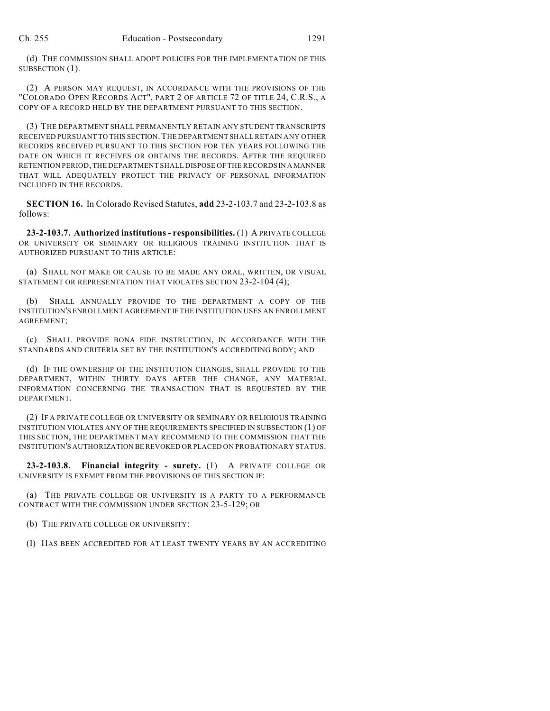(d) THE COMMISSION SHALL ADOPT POLICIES FOR THE IMPLEMENTATION OF THIS SUBSECTION (1).

(2) A PERSON MAY REQUEST, IN ACCORDANCE WITH THE PROVISIONS OF THE "COLORADO OPEN RECORDS ACT", PART 2 OF ARTICLE 72 OF TITLE 24, C.R.S., A COPY OF A RECORD HELD BY THE DEPARTMENT PURSUANT TO THIS SECTION.

(3) THE DEPARTMENT SHALL PERMANENTLY RETAIN ANY STUDENT TRANSCRIPTS RECEIVED PURSUANT TO THIS SECTION.THE DEPARTMENT SHALL RETAIN ANY OTHER RECORDS RECEIVED PURSUANT TO THIS SECTION FOR TEN YEARS FOLLOWING THE DATE ON WHICH IT RECEIVES OR OBTAINS THE RECORDS. AFTER THE REQUIRED RETENTION PERIOD, THE DEPARTMENT SHALL DISPOSE OF THE RECORDS IN A MANNER THAT WILL ADEQUATELY PROTECT THE PRIVACY OF PERSONAL INFORMATION INCLUDED IN THE RECORDS.

**SECTION 16.** In Colorado Revised Statutes, **add** 23-2-103.7 and 23-2-103.8 as follows:

**23-2-103.7. Authorized institutions - responsibilities.** (1) A PRIVATE COLLEGE OR UNIVERSITY OR SEMINARY OR RELIGIOUS TRAINING INSTITUTION THAT IS AUTHORIZED PURSUANT TO THIS ARTICLE:

(a) SHALL NOT MAKE OR CAUSE TO BE MADE ANY ORAL, WRITTEN, OR VISUAL STATEMENT OR REPRESENTATION THAT VIOLATES SECTION 23-2-104 (4);

(b) SHALL ANNUALLY PROVIDE TO THE DEPARTMENT A COPY OF THE INSTITUTION'S ENROLLMENT AGREEMENT IF THE INSTITUTION USES AN ENROLLMENT AGREEMENT;

(c) SHALL PROVIDE BONA FIDE INSTRUCTION, IN ACCORDANCE WITH THE STANDARDS AND CRITERIA SET BY THE INSTITUTION'S ACCREDITING BODY; AND

(d) IF THE OWNERSHIP OF THE INSTITUTION CHANGES, SHALL PROVIDE TO THE DEPARTMENT, WITHIN THIRTY DAYS AFTER THE CHANGE, ANY MATERIAL INFORMATION CONCERNING THE TRANSACTION THAT IS REQUESTED BY THE DEPARTMENT.

(2) IF A PRIVATE COLLEGE OR UNIVERSITY OR SEMINARY OR RELIGIOUS TRAINING INSTITUTION VIOLATES ANY OF THE REQUIREMENTS SPECIFIED IN SUBSECTION (1) OF THIS SECTION, THE DEPARTMENT MAY RECOMMEND TO THE COMMISSION THAT THE INSTITUTION'S AUTHORIZATION BE REVOKED OR PLACED ON PROBATIONARY STATUS.

**23-2-103.8. Financial integrity - surety.** (1) A PRIVATE COLLEGE OR UNIVERSITY IS EXEMPT FROM THE PROVISIONS OF THIS SECTION IF:

(a) THE PRIVATE COLLEGE OR UNIVERSITY IS A PARTY TO A PERFORMANCE CONTRACT WITH THE COMMISSION UNDER SECTION 23-5-129; OR

(b) THE PRIVATE COLLEGE OR UNIVERSITY:

(I) HAS BEEN ACCREDITED FOR AT LEAST TWENTY YEARS BY AN ACCREDITING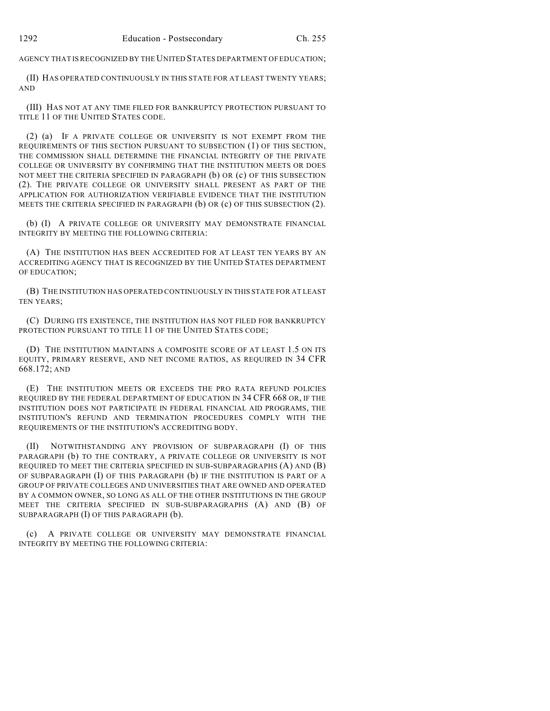AGENCY THAT IS RECOGNIZED BY THE UNITED STATES DEPARTMENT OF EDUCATION;

(II) HAS OPERATED CONTINUOUSLY IN THIS STATE FOR AT LEAST TWENTY YEARS; AND

(III) HAS NOT AT ANY TIME FILED FOR BANKRUPTCY PROTECTION PURSUANT TO TITLE 11 OF THE UNITED STATES CODE.

(2) (a) IF A PRIVATE COLLEGE OR UNIVERSITY IS NOT EXEMPT FROM THE REQUIREMENTS OF THIS SECTION PURSUANT TO SUBSECTION (1) OF THIS SECTION, THE COMMISSION SHALL DETERMINE THE FINANCIAL INTEGRITY OF THE PRIVATE COLLEGE OR UNIVERSITY BY CONFIRMING THAT THE INSTITUTION MEETS OR DOES NOT MEET THE CRITERIA SPECIFIED IN PARAGRAPH (b) OR (c) OF THIS SUBSECTION (2). THE PRIVATE COLLEGE OR UNIVERSITY SHALL PRESENT AS PART OF THE APPLICATION FOR AUTHORIZATION VERIFIABLE EVIDENCE THAT THE INSTITUTION MEETS THE CRITERIA SPECIFIED IN PARAGRAPH (b) OR (c) OF THIS SUBSECTION (2).

(b) (I) A PRIVATE COLLEGE OR UNIVERSITY MAY DEMONSTRATE FINANCIAL INTEGRITY BY MEETING THE FOLLOWING CRITERIA:

(A) THE INSTITUTION HAS BEEN ACCREDITED FOR AT LEAST TEN YEARS BY AN ACCREDITING AGENCY THAT IS RECOGNIZED BY THE UNITED STATES DEPARTMENT OF EDUCATION;

(B) THE INSTITUTION HAS OPERATED CONTINUOUSLY IN THIS STATE FOR AT LEAST TEN YEARS;

(C) DURING ITS EXISTENCE, THE INSTITUTION HAS NOT FILED FOR BANKRUPTCY PROTECTION PURSUANT TO TITLE 11 OF THE UNITED STATES CODE;

(D) THE INSTITUTION MAINTAINS A COMPOSITE SCORE OF AT LEAST 1.5 ON ITS EQUITY, PRIMARY RESERVE, AND NET INCOME RATIOS, AS REQUIRED IN 34 CFR 668.172; AND

(E) THE INSTITUTION MEETS OR EXCEEDS THE PRO RATA REFUND POLICIES REQUIRED BY THE FEDERAL DEPARTMENT OF EDUCATION IN 34 CFR 668 OR, IF THE INSTITUTION DOES NOT PARTICIPATE IN FEDERAL FINANCIAL AID PROGRAMS, THE INSTITUTION'S REFUND AND TERMINATION PROCEDURES COMPLY WITH THE REQUIREMENTS OF THE INSTITUTION'S ACCREDITING BODY.

(II) NOTWITHSTANDING ANY PROVISION OF SUBPARAGRAPH (I) OF THIS PARAGRAPH (b) TO THE CONTRARY, A PRIVATE COLLEGE OR UNIVERSITY IS NOT REQUIRED TO MEET THE CRITERIA SPECIFIED IN SUB-SUBPARAGRAPHS (A) AND (B) OF SUBPARAGRAPH (I) OF THIS PARAGRAPH (b) IF THE INSTITUTION IS PART OF A GROUP OF PRIVATE COLLEGES AND UNIVERSITIES THAT ARE OWNED AND OPERATED BY A COMMON OWNER, SO LONG AS ALL OF THE OTHER INSTITUTIONS IN THE GROUP MEET THE CRITERIA SPECIFIED IN SUB-SUBPARAGRAPHS (A) AND (B) OF SUBPARAGRAPH (I) OF THIS PARAGRAPH (b).

(c) A PRIVATE COLLEGE OR UNIVERSITY MAY DEMONSTRATE FINANCIAL INTEGRITY BY MEETING THE FOLLOWING CRITERIA: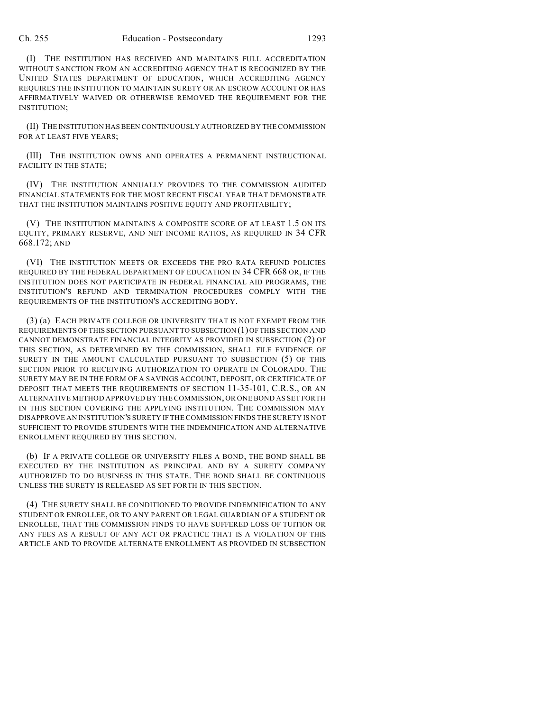(I) THE INSTITUTION HAS RECEIVED AND MAINTAINS FULL ACCREDITATION WITHOUT SANCTION FROM AN ACCREDITING AGENCY THAT IS RECOGNIZED BY THE UNITED STATES DEPARTMENT OF EDUCATION, WHICH ACCREDITING AGENCY REQUIRES THE INSTITUTION TO MAINTAIN SURETY OR AN ESCROW ACCOUNT OR HAS AFFIRMATIVELY WAIVED OR OTHERWISE REMOVED THE REQUIREMENT FOR THE INSTITUTION;

(II) THE INSTITUTION HASBEEN CONTINUOUSLY AUTHORIZED BY THE COMMISSION FOR AT LEAST FIVE YEARS;

(III) THE INSTITUTION OWNS AND OPERATES A PERMANENT INSTRUCTIONAL FACILITY IN THE STATE;

(IV) THE INSTITUTION ANNUALLY PROVIDES TO THE COMMISSION AUDITED FINANCIAL STATEMENTS FOR THE MOST RECENT FISCAL YEAR THAT DEMONSTRATE THAT THE INSTITUTION MAINTAINS POSITIVE EQUITY AND PROFITABILITY;

(V) THE INSTITUTION MAINTAINS A COMPOSITE SCORE OF AT LEAST 1.5 ON ITS EQUITY, PRIMARY RESERVE, AND NET INCOME RATIOS, AS REQUIRED IN 34 CFR 668.172; AND

(VI) THE INSTITUTION MEETS OR EXCEEDS THE PRO RATA REFUND POLICIES REQUIRED BY THE FEDERAL DEPARTMENT OF EDUCATION IN 34 CFR 668 OR, IF THE INSTITUTION DOES NOT PARTICIPATE IN FEDERAL FINANCIAL AID PROGRAMS, THE INSTITUTION'S REFUND AND TERMINATION PROCEDURES COMPLY WITH THE REQUIREMENTS OF THE INSTITUTION'S ACCREDITING BODY.

(3) (a) EACH PRIVATE COLLEGE OR UNIVERSITY THAT IS NOT EXEMPT FROM THE REQUIREMENTS OF THIS SECTION PURSUANT TO SUBSECTION (1) OFTHIS SECTION AND CANNOT DEMONSTRATE FINANCIAL INTEGRITY AS PROVIDED IN SUBSECTION (2) OF THIS SECTION, AS DETERMINED BY THE COMMISSION, SHALL FILE EVIDENCE OF SURETY IN THE AMOUNT CALCULATED PURSUANT TO SUBSECTION (5) OF THIS SECTION PRIOR TO RECEIVING AUTHORIZATION TO OPERATE IN COLORADO. THE SURETY MAY BE IN THE FORM OF A SAVINGS ACCOUNT, DEPOSIT, OR CERTIFICATE OF DEPOSIT THAT MEETS THE REQUIREMENTS OF SECTION 11-35-101, C.R.S., OR AN ALTERNATIVE METHOD APPROVED BY THE COMMISSION, OR ONE BOND AS SET FORTH IN THIS SECTION COVERING THE APPLYING INSTITUTION. THE COMMISSION MAY DISAPPROVE AN INSTITUTION'S SURETY IF THE COMMISSION FINDS THE SURETY IS NOT SUFFICIENT TO PROVIDE STUDENTS WITH THE INDEMNIFICATION AND ALTERNATIVE ENROLLMENT REQUIRED BY THIS SECTION.

(b) IF A PRIVATE COLLEGE OR UNIVERSITY FILES A BOND, THE BOND SHALL BE EXECUTED BY THE INSTITUTION AS PRINCIPAL AND BY A SURETY COMPANY AUTHORIZED TO DO BUSINESS IN THIS STATE. THE BOND SHALL BE CONTINUOUS UNLESS THE SURETY IS RELEASED AS SET FORTH IN THIS SECTION.

(4) THE SURETY SHALL BE CONDITIONED TO PROVIDE INDEMNIFICATION TO ANY STUDENT OR ENROLLEE, OR TO ANY PARENT OR LEGAL GUARDIAN OF A STUDENT OR ENROLLEE, THAT THE COMMISSION FINDS TO HAVE SUFFERED LOSS OF TUITION OR ANY FEES AS A RESULT OF ANY ACT OR PRACTICE THAT IS A VIOLATION OF THIS ARTICLE AND TO PROVIDE ALTERNATE ENROLLMENT AS PROVIDED IN SUBSECTION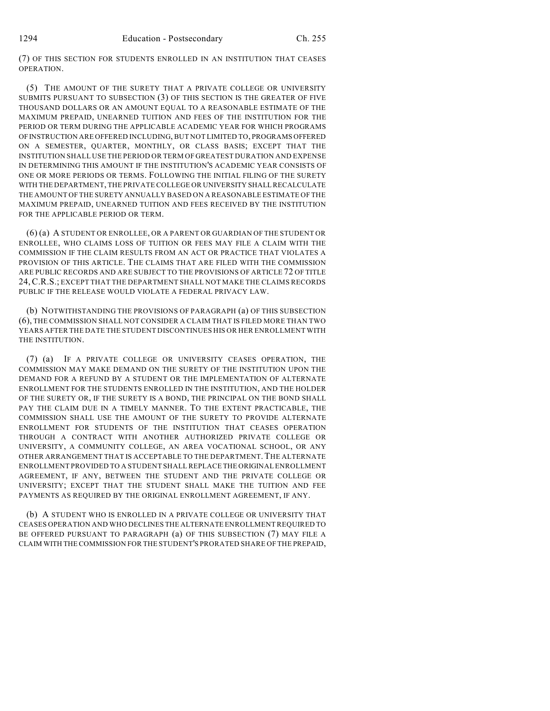(7) OF THIS SECTION FOR STUDENTS ENROLLED IN AN INSTITUTION THAT CEASES OPERATION.

(5) THE AMOUNT OF THE SURETY THAT A PRIVATE COLLEGE OR UNIVERSITY SUBMITS PURSUANT TO SUBSECTION (3) OF THIS SECTION IS THE GREATER OF FIVE THOUSAND DOLLARS OR AN AMOUNT EQUAL TO A REASONABLE ESTIMATE OF THE MAXIMUM PREPAID, UNEARNED TUITION AND FEES OF THE INSTITUTION FOR THE PERIOD OR TERM DURING THE APPLICABLE ACADEMIC YEAR FOR WHICH PROGRAMS OFINSTRUCTION ARE OFFERED INCLUDING, BUT NOT LIMITED TO, PROGRAMS OFFERED ON A SEMESTER, QUARTER, MONTHLY, OR CLASS BASIS; EXCEPT THAT THE INSTITUTION SHALL USE THE PERIOD OR TERM OF GREATEST DURATION AND EXPENSE IN DETERMINING THIS AMOUNT IF THE INSTITUTION'S ACADEMIC YEAR CONSISTS OF ONE OR MORE PERIODS OR TERMS. FOLLOWING THE INITIAL FILING OF THE SURETY WITH THE DEPARTMENT, THE PRIVATE COLLEGE OR UNIVERSITY SHALL RECALCULATE THE AMOUNT OF THE SURETY ANNUALLY BASED ON A REASONABLE ESTIMATE OF THE MAXIMUM PREPAID, UNEARNED TUITION AND FEES RECEIVED BY THE INSTITUTION FOR THE APPLICABLE PERIOD OR TERM.

(6) (a) A STUDENT OR ENROLLEE, OR A PARENT OR GUARDIAN OF THE STUDENT OR ENROLLEE, WHO CLAIMS LOSS OF TUITION OR FEES MAY FILE A CLAIM WITH THE COMMISSION IF THE CLAIM RESULTS FROM AN ACT OR PRACTICE THAT VIOLATES A PROVISION OF THIS ARTICLE. THE CLAIMS THAT ARE FILED WITH THE COMMISSION ARE PUBLIC RECORDS AND ARE SUBJECT TO THE PROVISIONS OF ARTICLE 72 OF TITLE 24,C.R.S.; EXCEPT THAT THE DEPARTMENT SHALL NOT MAKE THE CLAIMS RECORDS PUBLIC IF THE RELEASE WOULD VIOLATE A FEDERAL PRIVACY LAW.

(b) NOTWITHSTANDING THE PROVISIONS OF PARAGRAPH (a) OF THIS SUBSECTION (6), THE COMMISSION SHALL NOT CONSIDER A CLAIM THAT IS FILED MORE THAN TWO YEARS AFTER THE DATE THE STUDENT DISCONTINUES HIS OR HER ENROLLMENT WITH THE INSTITUTION.

(7) (a) IF A PRIVATE COLLEGE OR UNIVERSITY CEASES OPERATION, THE COMMISSION MAY MAKE DEMAND ON THE SURETY OF THE INSTITUTION UPON THE DEMAND FOR A REFUND BY A STUDENT OR THE IMPLEMENTATION OF ALTERNATE ENROLLMENT FOR THE STUDENTS ENROLLED IN THE INSTITUTION, AND THE HOLDER OF THE SURETY OR, IF THE SURETY IS A BOND, THE PRINCIPAL ON THE BOND SHALL PAY THE CLAIM DUE IN A TIMELY MANNER. TO THE EXTENT PRACTICABLE, THE COMMISSION SHALL USE THE AMOUNT OF THE SURETY TO PROVIDE ALTERNATE ENROLLMENT FOR STUDENTS OF THE INSTITUTION THAT CEASES OPERATION THROUGH A CONTRACT WITH ANOTHER AUTHORIZED PRIVATE COLLEGE OR UNIVERSITY, A COMMUNITY COLLEGE, AN AREA VOCATIONAL SCHOOL, OR ANY OTHER ARRANGEMENT THAT IS ACCEPTABLE TO THE DEPARTMENT. THE ALTERNATE ENROLLMENT PROVIDED TO A STUDENT SHALL REPLACE THE ORIGINAL ENROLLMENT AGREEMENT, IF ANY, BETWEEN THE STUDENT AND THE PRIVATE COLLEGE OR UNIVERSITY; EXCEPT THAT THE STUDENT SHALL MAKE THE TUITION AND FEE PAYMENTS AS REQUIRED BY THE ORIGINAL ENROLLMENT AGREEMENT, IF ANY.

(b) A STUDENT WHO IS ENROLLED IN A PRIVATE COLLEGE OR UNIVERSITY THAT CEASES OPERATION AND WHO DECLINES THE ALTERNATE ENROLLMENT REQUIRED TO BE OFFERED PURSUANT TO PARAGRAPH (a) OF THIS SUBSECTION (7) MAY FILE A CLAIM WITH THE COMMISSION FOR THE STUDENT'S PRORATED SHARE OF THE PREPAID,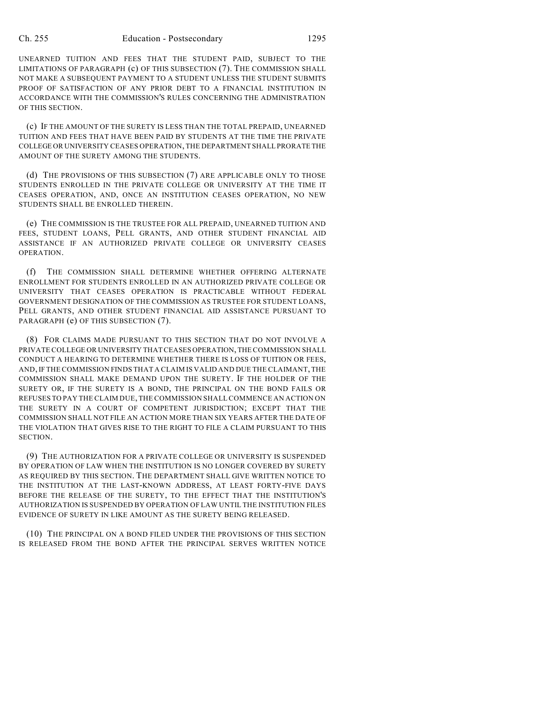UNEARNED TUITION AND FEES THAT THE STUDENT PAID, SUBJECT TO THE LIMITATIONS OF PARAGRAPH (c) OF THIS SUBSECTION (7). THE COMMISSION SHALL NOT MAKE A SUBSEQUENT PAYMENT TO A STUDENT UNLESS THE STUDENT SUBMITS PROOF OF SATISFACTION OF ANY PRIOR DEBT TO A FINANCIAL INSTITUTION IN ACCORDANCE WITH THE COMMISSION'S RULES CONCERNING THE ADMINISTRATION OF THIS SECTION.

(c) IF THE AMOUNT OF THE SURETY IS LESS THAN THE TOTAL PREPAID, UNEARNED TUITION AND FEES THAT HAVE BEEN PAID BY STUDENTS AT THE TIME THE PRIVATE COLLEGE OR UNIVERSITY CEASES OPERATION, THE DEPARTMENT SHALL PRORATE THE AMOUNT OF THE SURETY AMONG THE STUDENTS.

(d) THE PROVISIONS OF THIS SUBSECTION (7) ARE APPLICABLE ONLY TO THOSE STUDENTS ENROLLED IN THE PRIVATE COLLEGE OR UNIVERSITY AT THE TIME IT CEASES OPERATION, AND, ONCE AN INSTITUTION CEASES OPERATION, NO NEW STUDENTS SHALL BE ENROLLED THEREIN.

(e) THE COMMISSION IS THE TRUSTEE FOR ALL PREPAID, UNEARNED TUITION AND FEES, STUDENT LOANS, PELL GRANTS, AND OTHER STUDENT FINANCIAL AID ASSISTANCE IF AN AUTHORIZED PRIVATE COLLEGE OR UNIVERSITY CEASES OPERATION.

(f) THE COMMISSION SHALL DETERMINE WHETHER OFFERING ALTERNATE ENROLLMENT FOR STUDENTS ENROLLED IN AN AUTHORIZED PRIVATE COLLEGE OR UNIVERSITY THAT CEASES OPERATION IS PRACTICABLE WITHOUT FEDERAL GOVERNMENT DESIGNATION OF THE COMMISSION AS TRUSTEE FOR STUDENT LOANS, PELL GRANTS, AND OTHER STUDENT FINANCIAL AID ASSISTANCE PURSUANT TO PARAGRAPH (e) OF THIS SUBSECTION (7).

(8) FOR CLAIMS MADE PURSUANT TO THIS SECTION THAT DO NOT INVOLVE A PRIVATE COLLEGE OR UNIVERSITY THAT CEASES OPERATION, THE COMMISSION SHALL CONDUCT A HEARING TO DETERMINE WHETHER THERE IS LOSS OF TUITION OR FEES, AND, IF THE COMMISSION FINDS THAT A CLAIM IS VALID AND DUE THE CLAIMANT, THE COMMISSION SHALL MAKE DEMAND UPON THE SURETY. IF THE HOLDER OF THE SURETY OR, IF THE SURETY IS A BOND, THE PRINCIPAL ON THE BOND FAILS OR REFUSES TO PAY THE CLAIM DUE, THE COMMISSION SHALL COMMENCE AN ACTION ON THE SURETY IN A COURT OF COMPETENT JURISDICTION; EXCEPT THAT THE COMMISSION SHALL NOT FILE AN ACTION MORE THAN SIX YEARS AFTER THE DATE OF THE VIOLATION THAT GIVES RISE TO THE RIGHT TO FILE A CLAIM PURSUANT TO THIS SECTION.

(9) THE AUTHORIZATION FOR A PRIVATE COLLEGE OR UNIVERSITY IS SUSPENDED BY OPERATION OF LAW WHEN THE INSTITUTION IS NO LONGER COVERED BY SURETY AS REQUIRED BY THIS SECTION. THE DEPARTMENT SHALL GIVE WRITTEN NOTICE TO THE INSTITUTION AT THE LAST-KNOWN ADDRESS, AT LEAST FORTY-FIVE DAYS BEFORE THE RELEASE OF THE SURETY, TO THE EFFECT THAT THE INSTITUTION'S AUTHORIZATION IS SUSPENDED BY OPERATION OF LAW UNTIL THE INSTITUTION FILES EVIDENCE OF SURETY IN LIKE AMOUNT AS THE SURETY BEING RELEASED.

(10) THE PRINCIPAL ON A BOND FILED UNDER THE PROVISIONS OF THIS SECTION IS RELEASED FROM THE BOND AFTER THE PRINCIPAL SERVES WRITTEN NOTICE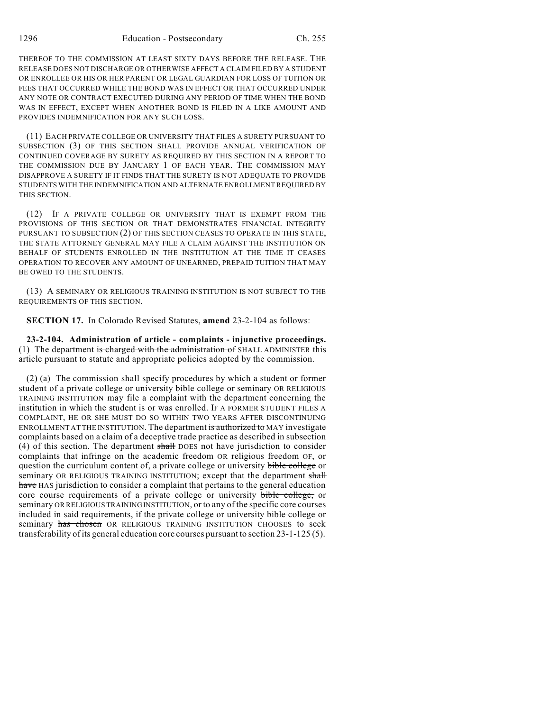THEREOF TO THE COMMISSION AT LEAST SIXTY DAYS BEFORE THE RELEASE. THE RELEASE DOES NOT DISCHARGE OR OTHERWISE AFFECT A CLAIM FILED BY A STUDENT OR ENROLLEE OR HIS OR HER PARENT OR LEGAL GUARDIAN FOR LOSS OF TUITION OR FEES THAT OCCURRED WHILE THE BOND WAS IN EFFECT OR THAT OCCURRED UNDER ANY NOTE OR CONTRACT EXECUTED DURING ANY PERIOD OF TIME WHEN THE BOND WAS IN EFFECT, EXCEPT WHEN ANOTHER BOND IS FILED IN A LIKE AMOUNT AND PROVIDES INDEMNIFICATION FOR ANY SUCH LOSS.

(11) EACH PRIVATE COLLEGE OR UNIVERSITY THAT FILES A SURETY PURSUANT TO SUBSECTION (3) OF THIS SECTION SHALL PROVIDE ANNUAL VERIFICATION OF CONTINUED COVERAGE BY SURETY AS REQUIRED BY THIS SECTION IN A REPORT TO THE COMMISSION DUE BY JANUARY 1 OF EACH YEAR. THE COMMISSION MAY DISAPPROVE A SURETY IF IT FINDS THAT THE SURETY IS NOT ADEQUATE TO PROVIDE STUDENTS WITH THE INDEMNIFICATION AND ALTERNATE ENROLLMENT REQUIRED BY THIS SECTION.

(12) IF A PRIVATE COLLEGE OR UNIVERSITY THAT IS EXEMPT FROM THE PROVISIONS OF THIS SECTION OR THAT DEMONSTRATES FINANCIAL INTEGRITY PURSUANT TO SUBSECTION (2) OF THIS SECTION CEASES TO OPERATE IN THIS STATE, THE STATE ATTORNEY GENERAL MAY FILE A CLAIM AGAINST THE INSTITUTION ON BEHALF OF STUDENTS ENROLLED IN THE INSTITUTION AT THE TIME IT CEASES OPERATION TO RECOVER ANY AMOUNT OF UNEARNED, PREPAID TUITION THAT MAY BE OWED TO THE STUDENTS.

(13) A SEMINARY OR RELIGIOUS TRAINING INSTITUTION IS NOT SUBJECT TO THE REQUIREMENTS OF THIS SECTION.

**SECTION 17.** In Colorado Revised Statutes, **amend** 23-2-104 as follows:

**23-2-104. Administration of article - complaints - injunctive proceedings.** (1) The department is charged with the administration of SHALL ADMINISTER this article pursuant to statute and appropriate policies adopted by the commission.

(2) (a) The commission shall specify procedures by which a student or former student of a private college or university bible college or seminary OR RELIGIOUS TRAINING INSTITUTION may file a complaint with the department concerning the institution in which the student is or was enrolled. IF A FORMER STUDENT FILES A COMPLAINT, HE OR SHE MUST DO SO WITHIN TWO YEARS AFTER DISCONTINUING ENROLLMENT AT THE INSTITUTION. The department is authorized to MAY investigate complaints based on a claim of a deceptive trade practice as described in subsection (4) of this section. The department shall DOES not have jurisdiction to consider complaints that infringe on the academic freedom OR religious freedom OF, or question the curriculum content of, a private college or university bible college or seminary OR RELIGIOUS TRAINING INSTITUTION; except that the department shall have HAS jurisdiction to consider a complaint that pertains to the general education core course requirements of a private college or university bible college, or seminary OR RELIGIOUS TRAINING INSTITUTION, or to any of the specific core courses included in said requirements, if the private college or university bible college or seminary has chosen OR RELIGIOUS TRAINING INSTITUTION CHOOSES to seek transferability of its general education core courses pursuant to section 23-1-125 (5).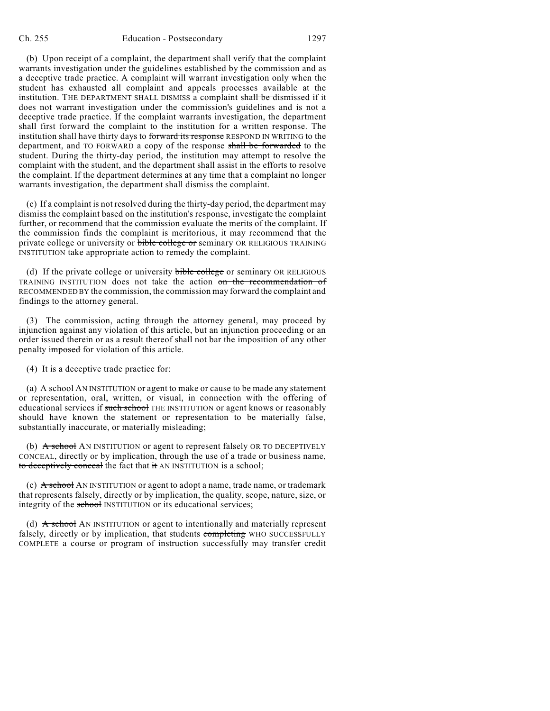(b) Upon receipt of a complaint, the department shall verify that the complaint warrants investigation under the guidelines established by the commission and as a deceptive trade practice. A complaint will warrant investigation only when the student has exhausted all complaint and appeals processes available at the institution. THE DEPARTMENT SHALL DISMISS a complaint shall be dismissed if it does not warrant investigation under the commission's guidelines and is not a deceptive trade practice. If the complaint warrants investigation, the department shall first forward the complaint to the institution for a written response. The institution shall have thirty days to forward its response RESPOND IN WRITING to the department, and TO FORWARD a copy of the response shall be forwarded to the student. During the thirty-day period, the institution may attempt to resolve the complaint with the student, and the department shall assist in the efforts to resolve the complaint. If the department determines at any time that a complaint no longer warrants investigation, the department shall dismiss the complaint.

(c) If a complaint is not resolved during the thirty-day period, the department may dismiss the complaint based on the institution's response, investigate the complaint further, or recommend that the commission evaluate the merits of the complaint. If the commission finds the complaint is meritorious, it may recommend that the private college or university or bible college or seminary OR RELIGIOUS TRAINING INSTITUTION take appropriate action to remedy the complaint.

(d) If the private college or university bible college or seminary OR RELIGIOUS TRAINING INSTITUTION does not take the action on the recommendation of RECOMMENDED BY the commission, the commission may forward the complaint and findings to the attorney general.

(3) The commission, acting through the attorney general, may proceed by injunction against any violation of this article, but an injunction proceeding or an order issued therein or as a result thereof shall not bar the imposition of any other penalty imposed for violation of this article.

(4) It is a deceptive trade practice for:

(a) A school AN INSTITUTION or agent to make or cause to be made any statement or representation, oral, written, or visual, in connection with the offering of educational services if such school THE INSTITUTION or agent knows or reasonably should have known the statement or representation to be materially false, substantially inaccurate, or materially misleading;

(b) A school AN INSTITUTION or agent to represent falsely OR TO DECEPTIVELY CONCEAL, directly or by implication, through the use of a trade or business name, to deceptively conceal the fact that it AN INSTITUTION is a school;

(c)  $\overrightarrow{A}$  school AN INSTITUTION or agent to adopt a name, trade name, or trademark that represents falsely, directly or by implication, the quality, scope, nature, size, or integrity of the school INSTITUTION or its educational services;

(d)  $\overrightarrow{A}$  school AN INSTITUTION or agent to intentionally and materially represent falsely, directly or by implication, that students completing WHO SUCCESSFULLY COMPLETE a course or program of instruction successfully may transfer credit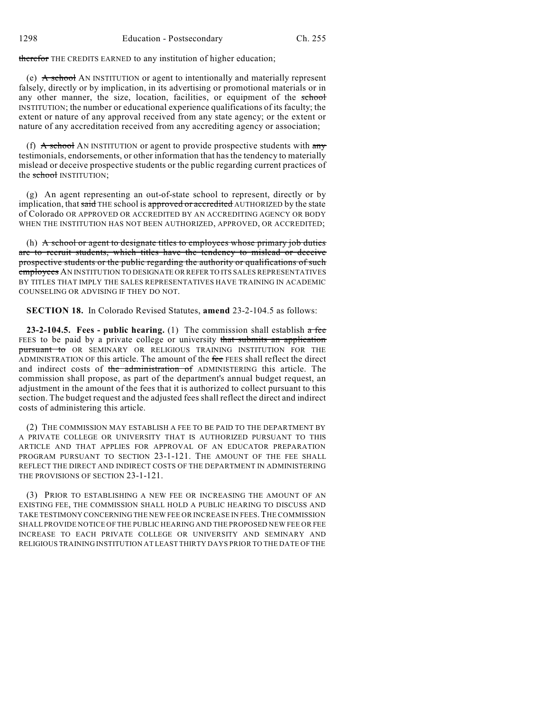therefor THE CREDITS EARNED to any institution of higher education;

(e)  $\overrightarrow{A}$  school AN INSTITUTION or agent to intentionally and materially represent falsely, directly or by implication, in its advertising or promotional materials or in any other manner, the size, location, facilities, or equipment of the school INSTITUTION; the number or educational experience qualifications of its faculty; the extent or nature of any approval received from any state agency; or the extent or nature of any accreditation received from any accrediting agency or association;

(f)  $\overline{A}$  school AN INSTITUTION or agent to provide prospective students with any testimonials, endorsements, or other information that has the tendency to materially mislead or deceive prospective students or the public regarding current practices of the school INSTITUTION;

(g) An agent representing an out-of-state school to represent, directly or by implication, that said THE school is approved or accredited AUTHORIZED by the state of Colorado OR APPROVED OR ACCREDITED BY AN ACCREDITING AGENCY OR BODY WHEN THE INSTITUTION HAS NOT BEEN AUTHORIZED, APPROVED, OR ACCREDITED;

(h)  $\overrightarrow{A}$  school or agent to designate titles to employees whose primary job duties are to recruit students, which titles have the tendency to mislead or deceive prospective students or the public regarding the authority or qualifications of such employees AN INSTITUTION TO DESIGNATE OR REFER TO ITS SALES REPRESENTATIVES BY TITLES THAT IMPLY THE SALES REPRESENTATIVES HAVE TRAINING IN ACADEMIC COUNSELING OR ADVISING IF THEY DO NOT.

**SECTION 18.** In Colorado Revised Statutes, **amend** 23-2-104.5 as follows:

**23-2-104.5. Fees - public hearing.** (1) The commission shall establish a fee FEES to be paid by a private college or university that submits an application pursuant to OR SEMINARY OR RELIGIOUS TRAINING INSTITUTION FOR THE ADMINISTRATION OF this article. The amount of the fee FEES shall reflect the direct and indirect costs of the administration of ADMINISTERING this article. The commission shall propose, as part of the department's annual budget request, an adjustment in the amount of the fees that it is authorized to collect pursuant to this section. The budget request and the adjusted fees shall reflect the direct and indirect costs of administering this article.

(2) THE COMMISSION MAY ESTABLISH A FEE TO BE PAID TO THE DEPARTMENT BY A PRIVATE COLLEGE OR UNIVERSITY THAT IS AUTHORIZED PURSUANT TO THIS ARTICLE AND THAT APPLIES FOR APPROVAL OF AN EDUCATOR PREPARATION PROGRAM PURSUANT TO SECTION 23-1-121. THE AMOUNT OF THE FEE SHALL REFLECT THE DIRECT AND INDIRECT COSTS OF THE DEPARTMENT IN ADMINISTERING THE PROVISIONS OF SECTION 23-1-121.

(3) PRIOR TO ESTABLISHING A NEW FEE OR INCREASING THE AMOUNT OF AN EXISTING FEE, THE COMMISSION SHALL HOLD A PUBLIC HEARING TO DISCUSS AND TAKE TESTIMONY CONCERNING THE NEW FEE OR INCREASE IN FEES.THE COMMISSION SHALL PROVIDE NOTICE OF THE PUBLIC HEARING AND THE PROPOSED NEW FEE OR FEE INCREASE TO EACH PRIVATE COLLEGE OR UNIVERSITY AND SEMINARY AND RELIGIOUS TRAINING INSTITUTION AT LEAST THIRTY DAYS PRIOR TO THE DATE OF THE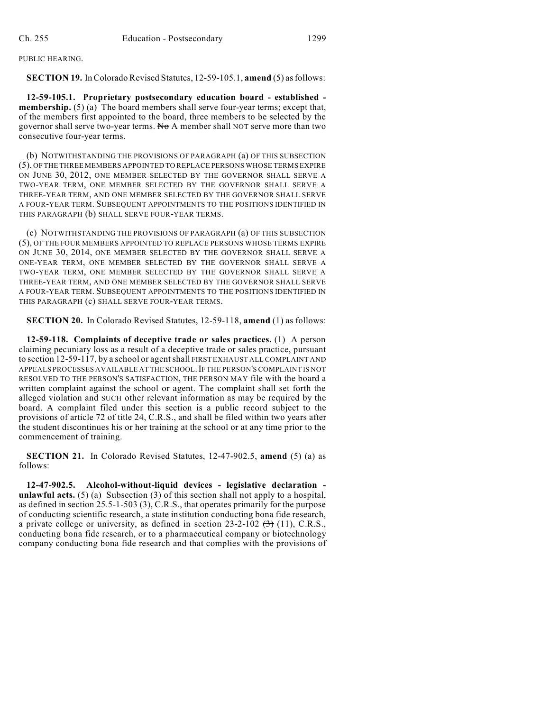PUBLIC HEARING.

**SECTION 19.** In Colorado Revised Statutes, 12-59-105.1, **amend** (5) as follows:

**12-59-105.1. Proprietary postsecondary education board - established membership.** (5) (a) The board members shall serve four-year terms; except that, of the members first appointed to the board, three members to be selected by the governor shall serve two-year terms. No A member shall NOT serve more than two consecutive four-year terms.

(b) NOTWITHSTANDING THE PROVISIONS OF PARAGRAPH (a) OF THIS SUBSECTION (5), OF THE THREE MEMBERS APPOINTED TO REPLACE PERSONS WHOSE TERMS EXPIRE ON JUNE 30, 2012, ONE MEMBER SELECTED BY THE GOVERNOR SHALL SERVE A TWO-YEAR TERM, ONE MEMBER SELECTED BY THE GOVERNOR SHALL SERVE A THREE-YEAR TERM, AND ONE MEMBER SELECTED BY THE GOVERNOR SHALL SERVE A FOUR-YEAR TERM. SUBSEQUENT APPOINTMENTS TO THE POSITIONS IDENTIFIED IN THIS PARAGRAPH (b) SHALL SERVE FOUR-YEAR TERMS.

(c) NOTWITHSTANDING THE PROVISIONS OF PARAGRAPH (a) OF THIS SUBSECTION (5), OF THE FOUR MEMBERS APPOINTED TO REPLACE PERSONS WHOSE TERMS EXPIRE ON JUNE 30, 2014, ONE MEMBER SELECTED BY THE GOVERNOR SHALL SERVE A ONE-YEAR TERM, ONE MEMBER SELECTED BY THE GOVERNOR SHALL SERVE A TWO-YEAR TERM, ONE MEMBER SELECTED BY THE GOVERNOR SHALL SERVE A THREE-YEAR TERM, AND ONE MEMBER SELECTED BY THE GOVERNOR SHALL SERVE A FOUR-YEAR TERM. SUBSEQUENT APPOINTMENTS TO THE POSITIONS IDENTIFIED IN THIS PARAGRAPH (c) SHALL SERVE FOUR-YEAR TERMS.

**SECTION 20.** In Colorado Revised Statutes, 12-59-118, **amend** (1) as follows:

**12-59-118. Complaints of deceptive trade or sales practices.** (1) A person claiming pecuniary loss as a result of a deceptive trade or sales practice, pursuant to section 12-59-117, by a school or agentshall FIRST EXHAUST ALL COMPLAINT AND APPEALS PROCESSES AVAILABLE AT THE SCHOOL.IF THE PERSON'S COMPLAINT IS NOT RESOLVED TO THE PERSON'S SATISFACTION, THE PERSON MAY file with the board a written complaint against the school or agent. The complaint shall set forth the alleged violation and SUCH other relevant information as may be required by the board. A complaint filed under this section is a public record subject to the provisions of article 72 of title 24, C.R.S., and shall be filed within two years after the student discontinues his or her training at the school or at any time prior to the commencement of training.

**SECTION 21.** In Colorado Revised Statutes, 12-47-902.5, **amend** (5) (a) as follows:

**12-47-902.5. Alcohol-without-liquid devices - legislative declaration unlawful acts.** (5) (a) Subsection (3) of this section shall not apply to a hospital, as defined in section 25.5-1-503 (3), C.R.S., that operates primarily for the purpose of conducting scientific research, a state institution conducting bona fide research, a private college or university, as defined in section 23-2-102  $(3)$  (11), C.R.S., conducting bona fide research, or to a pharmaceutical company or biotechnology company conducting bona fide research and that complies with the provisions of